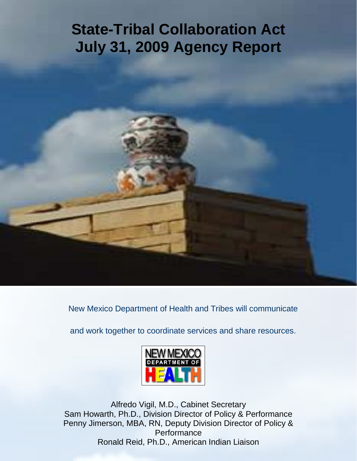# **State-Tribal Collaboration Act July 31, 2009 Agency Report**

New Mexico Department of Health and Tribes will communicate

and work together to coordinate services and share resources.



Alfredo Vigil, M.D., Cabinet Secretary Sam Howarth, Ph.D., Division Director of Policy & Performance Penny Jimerson, MBA, RN, Deputy Division Director of Policy & **Performance** Ronald Reid, Ph.D., American Indian Liaison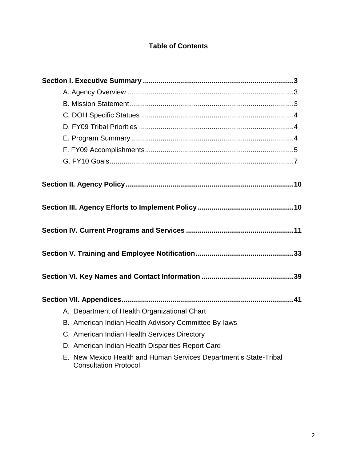# **Table of Contents**

| A. Department of Health Organizational Chart                                                      |
|---------------------------------------------------------------------------------------------------|
| B. American Indian Health Advisory Committee By-laws                                              |
| C. American Indian Health Services Directory                                                      |
| D. American Indian Health Disparities Report Card                                                 |
| E. New Mexico Health and Human Services Department's State-Tribal<br><b>Consultation Protocol</b> |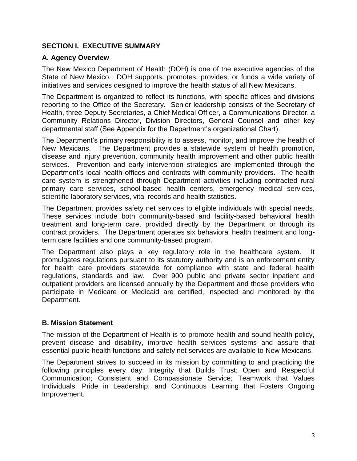## **SECTION I. EXECUTIVE SUMMARY**

## **A. Agency Overview**

The New Mexico Department of Health (DOH) is one of the executive agencies of the State of New Mexico. DOH supports, promotes, provides, or funds a wide variety of initiatives and services designed to improve the health status of all New Mexicans.

The Department is organized to reflect its functions, with specific offices and divisions reporting to the Office of the Secretary. Senior leadership consists of the Secretary of Health, three Deputy Secretaries, a Chief Medical Officer, a Communications Director, a Community Relations Director, Division Directors, General Counsel and other key departmental staff (See Appendix for the Department's organizational Chart).

The Department's primary responsibility is to assess, monitor, and improve the health of New Mexicans. The Department provides a statewide system of health promotion, disease and injury prevention, community health improvement and other public health services. Prevention and early intervention strategies are implemented through the Department's local health offices and contracts with community providers. The health care system is strengthened through Department activities including contracted rural primary care services, school-based health centers, emergency medical services, scientific laboratory services, vital records and health statistics.

The Department provides safety net services to eligible individuals with special needs. These services include both community-based and facility-based behavioral health treatment and long-term care, provided directly by the Department or through its contract providers. The Department operates six behavioral health treatment and longterm care facilities and one community-based program.

The Department also plays a key regulatory role in the healthcare system. It promulgates regulations pursuant to its statutory authority and is an enforcement entity for health care providers statewide for compliance with state and federal health regulations, standards and law. Over 900 public and private sector inpatient and outpatient providers are licensed annually by the Department and those providers who participate in Medicare or Medicaid are certified, inspected and monitored by the Department.

#### **B. Mission Statement**

The mission of the Department of Health is to promote health and sound health policy, prevent disease and disability, improve health services systems and assure that essential public health functions and safety net services are available to New Mexicans.

The Department strives to succeed in its mission by committing to and practicing the following principles every day: Integrity that Builds Trust; Open and Respectful Communication; Consistent and Compassionate Service; Teamwork that Values Individuals; Pride in Leadership; and Continuous Learning that Fosters Ongoing Improvement.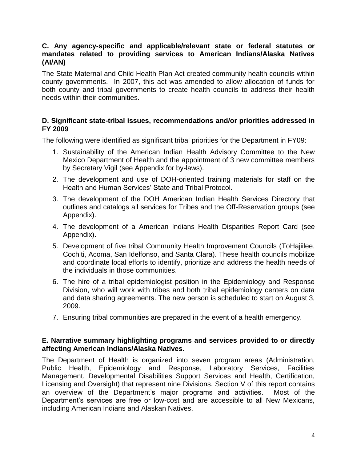#### **C. Any agency-specific and applicable/relevant state or federal statutes or mandates related to providing services to American Indians/Alaska Natives (AI/AN)**

The State Maternal and Child Health Plan Act created community health councils within county governments. In 2007, this act was amended to allow allocation of funds for both county and tribal governments to create health councils to address their health needs within their communities.

#### **D. Significant state-tribal issues, recommendations and/or priorities addressed in FY 2009**

The following were identified as significant tribal priorities for the Department in FY09:

- 1. Sustainability of the American Indian Health Advisory Committee to the New Mexico Department of Health and the appointment of 3 new committee members by Secretary Vigil (see Appendix for by-laws).
- 2. The development and use of DOH-oriented training materials for staff on the Health and Human Services' State and Tribal Protocol.
- 3. The development of the DOH American Indian Health Services Directory that outlines and catalogs all services for Tribes and the Off-Reservation groups (see Appendix).
- 4. The development of a American Indians Health Disparities Report Card (see Appendix).
- 5. Development of five tribal Community Health Improvement Councils (ToHajiilee, Cochiti, Acoma, San Idelfonso, and Santa Clara). These health councils mobilize and coordinate local efforts to identify, prioritize and address the health needs of the individuals in those communities.
- 6. The hire of a tribal epidemiologist position in the Epidemiology and Response Division, who will work with tribes and both tribal epidemiology centers on data and data sharing agreements. The new person is scheduled to start on August 3, 2009.
- 7. Ensuring tribal communities are prepared in the event of a health emergency.

#### **E. Narrative summary highlighting programs and services provided to or directly affecting American Indians/Alaska Natives.**

The Department of Health is organized into seven program areas (Administration, Public Health, Epidemiology and Response, Laboratory Services, Facilities Management, Developmental Disabilities Support Services and Health, Certification, Licensing and Oversight) that represent nine Divisions. Section V of this report contains an overview of the Department's major programs and activities. Most of the Department's services are free or low-cost and are accessible to all New Mexicans, including American Indians and Alaskan Natives.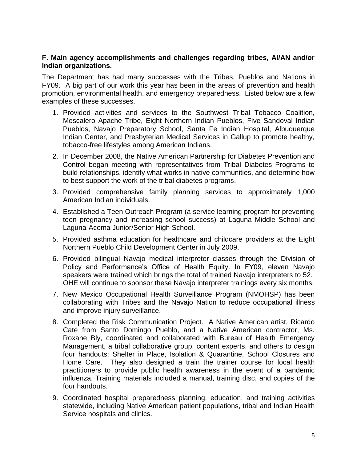#### **F. Main agency accomplishments and challenges regarding tribes, AI/AN and/or Indian organizations.**

The Department has had many successes with the Tribes, Pueblos and Nations in FY09. A big part of our work this year has been in the areas of prevention and health promotion, environmental health, and emergency preparedness. Listed below are a few examples of these successes.

- 1. Provided activities and services to the Southwest Tribal Tobacco Coalition, Mescalero Apache Tribe, Eight Northern Indian Pueblos, Five Sandoval Indian Pueblos, Navajo Preparatory School, Santa Fe Indian Hospital, Albuquerque Indian Center, and Presbyterian Medical Services in Gallup to promote healthy, tobacco-free lifestyles among American Indians.
- 2. In December 2008, the Native American Partnership for Diabetes Prevention and Control began meeting with representatives from Tribal Diabetes Programs to build relationships, identify what works in native communities, and determine how to best support the work of the tribal diabetes programs.
- 3. Provided comprehensive family planning services to approximately 1,000 American Indian individuals.
- 4. Established a Teen Outreach Program (a service learning program for preventing teen pregnancy and increasing school success) at Laguna Middle School and Laguna-Acoma Junior/Senior High School.
- 5. Provided asthma education for healthcare and childcare providers at the Eight Northern Pueblo Child Development Center in July 2009.
- 6. Provided bilingual Navajo medical interpreter classes through the Division of Policy and Performance's Office of Health Equity. In FY09, eleven Navajo speakers were trained which brings the total of trained Navajo interpreters to 52. OHE will continue to sponsor these Navajo interpreter trainings every six months.
- 7. New Mexico Occupational Health Surveillance Program (NMOHSP) has been collaborating with Tribes and the Navajo Nation to reduce occupational illness and improve injury surveillance.
- 8. Completed the Risk Communication Project. A Native American artist, Ricardo Cate from Santo Domingo Pueblo, and a Native American contractor, Ms. Roxane Bly, coordinated and collaborated with Bureau of Health Emergency Management, a tribal collaborative group, content experts, and others to design four handouts: Shelter in Place, Isolation & Quarantine, School Closures and Home Care. They also designed a train the trainer course for local health practitioners to provide public health awareness in the event of a pandemic influenza. Training materials included a manual, training disc, and copies of the four handouts.
- 9. Coordinated hospital preparedness planning, education, and training activities statewide, including Native American patient populations, tribal and Indian Health Service hospitals and clinics.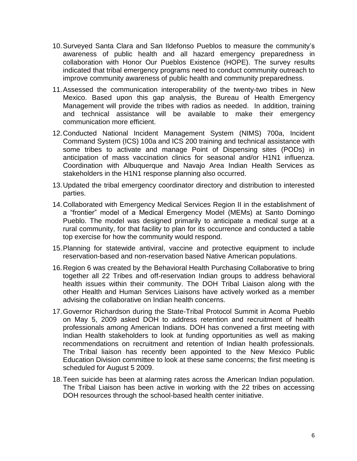- 10.Surveyed Santa Clara and San Ildefonso Pueblos to measure the community's awareness of public health and all hazard emergency preparedness in collaboration with Honor Our Pueblos Existence (HOPE). The survey results indicated that tribal emergency programs need to conduct community outreach to improve community awareness of public health and community preparedness.
- 11.Assessed the communication interoperability of the twenty-two tribes in New Mexico. Based upon this gap analysis, the Bureau of Health Emergency Management will provide the tribes with radios as needed. In addition, training and technical assistance will be available to make their emergency communication more efficient.
- 12.Conducted National Incident Management System (NIMS) 700a, Incident Command System (ICS) 100a and ICS 200 training and technical assistance with some tribes to activate and manage Point of Dispensing sites (PODs) in anticipation of mass vaccination clinics for seasonal and/or H1N1 influenza. Coordination with Albuquerque and Navajo Area Indian Health Services as stakeholders in the H1N1 response planning also occurred.
- 13.Updated the tribal emergency coordinator directory and distribution to interested parties.
- 14.Collaborated with Emergency Medical Services Region II in the establishment of a "frontier" model of a Medical Emergency Model (MEMs) at Santo Domingo Pueblo. The model was designed primarily to anticipate a medical surge at a rural community, for that facility to plan for its occurrence and conducted a table top exercise for how the community would respond.
- 15.Planning for statewide antiviral, vaccine and protective equipment to include reservation-based and non-reservation based Native American populations.
- 16.Region 6 was created by the Behavioral Health Purchasing Collaborative to bring together all 22 Tribes and off-reservation Indian groups to address behavioral health issues within their community. The DOH Tribal Liaison along with the other Health and Human Services Liaisons have actively worked as a member advising the collaborative on Indian health concerns.
- 17.Governor Richardson during the State-Tribal Protocol Summit in Acoma Pueblo on May 5, 2009 asked DOH to address retention and recruitment of health professionals among American Indians. DOH has convened a first meeting with Indian Health stakeholders to look at funding opportunities as well as making recommendations on recruitment and retention of Indian health professionals. The Tribal liaison has recently been appointed to the New Mexico Public Education Division committee to look at these same concerns; the first meeting is scheduled for August 5 2009.
- 18.Teen suicide has been at alarming rates across the American Indian population. The Tribal Liaison has been active in working with the 22 tribes on accessing DOH resources through the school-based health center initiative.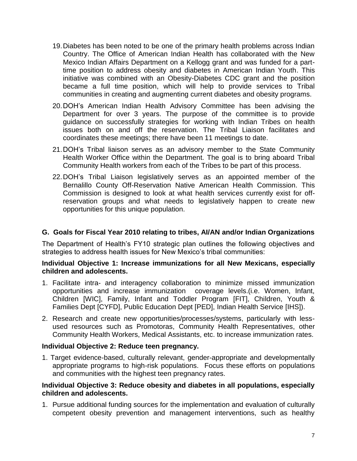- 19.Diabetes has been noted to be one of the primary health problems across Indian Country. The Office of American Indian Health has collaborated with the New Mexico Indian Affairs Department on a Kellogg grant and was funded for a parttime position to address obesity and diabetes in American Indian Youth. This initiative was combined with an Obesity-Diabetes CDC grant and the position became a full time position, which will help to provide services to Tribal communities in creating and augmenting current diabetes and obesity programs.
- 20.DOH's American Indian Health Advisory Committee has been advising the Department for over 3 years. The purpose of the committee is to provide guidance on successfully strategies for working with Indian Tribes on health issues both on and off the reservation. The Tribal Liaison facilitates and coordinates these meetings; there have been 11 meetings to date.
- 21.DOH's Tribal liaison serves as an advisory member to the State Community Health Worker Office within the Department. The goal is to bring aboard Tribal Community Health workers from each of the Tribes to be part of this process.
- 22.DOH's Tribal Liaison legislatively serves as an appointed member of the Bernalillo County Off-Reservation Native American Health Commission. This Commission is designed to look at what health services currently exist for offreservation groups and what needs to legislatively happen to create new opportunities for this unique population.

## **G. Goals for Fiscal Year 2010 relating to tribes, AI/AN and/or Indian Organizations**

The Department of Health's FY10 strategic plan outlines the following objectives and strategies to address health issues for New Mexico's tribal communities:

#### **Individual Objective 1: Increase immunizations for all New Mexicans, especially children and adolescents.**

- 1. Facilitate intra- and interagency collaboration to minimize missed immunization opportunities and increase immunization coverage levels.(i.e. Women, Infant, Children [WIC], Family, Infant and Toddler Program [FIT], Children, Youth & Families Dept [CYFD], Public Education Dept [PED], Indian Health Service [IHS]).
- 2. Research and create new opportunities/processes/systems, particularly with lessused resources such as Promotoras, Community Health Representatives, other Community Health Workers, Medical Assistants, etc. to increase immunization rates.

#### **Individual Objective 2: Reduce teen pregnancy.**

1. Target evidence-based, culturally relevant, gender-appropriate and developmentally appropriate programs to high-risk populations. Focus these efforts on populations and communities with the highest teen pregnancy rates.

#### **Individual Objective 3: Reduce obesity and diabetes in all populations, especially children and adolescents.**

1. Pursue additional funding sources for the implementation and evaluation of culturally competent obesity prevention and management interventions, such as healthy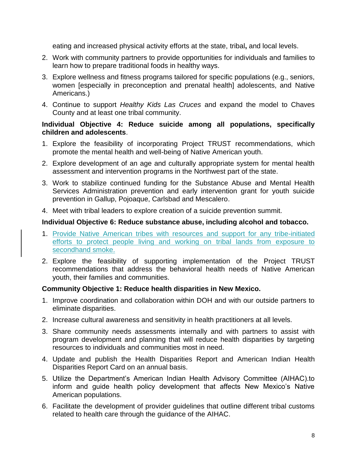eating and increased physical activity efforts at the state, tribal**,** and local levels.

- 2. Work with community partners to provide opportunities for individuals and families to learn how to prepare traditional foods in healthy ways.
- 3. Explore wellness and fitness programs tailored for specific populations (e.g., seniors, women [especially in preconception and prenatal health] adolescents, and Native Americans.)
- 4. Continue to support *Healthy Kids Las Cruces* and expand the model to Chaves County and at least one tribal community.

## **Individual Objective 4: Reduce suicide among all populations, specifically children and adolescents**.

- 1. Explore the feasibility of incorporating Project TRUST recommendations, which promote the mental health and well-being of Native American youth.
- 2. Explore development of an age and culturally appropriate system for mental health assessment and intervention programs in the Northwest part of the state.
- 3. Work to stabilize continued funding for the Substance Abuse and Mental Health Services Administration prevention and early intervention grant for youth suicide prevention in Gallup, Pojoaque, Carlsbad and Mescalero.
- 4. Meet with tribal leaders to explore creation of a suicide prevention summit.

## **Individual Objective 6: Reduce substance abuse, including alcohol and tobacco.**

- 1. Provide Native American tribes with resources and support for any tribe-initiated efforts to protect people living and working on tribal lands from exposure to secondhand smoke.
- 2. Explore the feasibility of supporting implementation of the Project TRUST recommendations that address the behavioral health needs of Native American youth, their families and communities.

## **Community Objective 1: Reduce health disparities in New Mexico.**

- 1. Improve coordination and collaboration within DOH and with our outside partners to eliminate disparities.
- 2. Increase cultural awareness and sensitivity in health practitioners at all levels.
- 3. Share community needs assessments internally and with partners to assist with program development and planning that will reduce health disparities by targeting resources to individuals and communities most in need.
- 4. Update and publish the Health Disparities Report and American Indian Health Disparities Report Card on an annual basis.
- 5. Utilize the Department's American Indian Health Advisory Committee (AIHAC).to inform and guide health policy development that affects New Mexico's Native American populations.
- 6. Facilitate the development of provider guidelines that outline different tribal customs related to health care through the guidance of the AIHAC.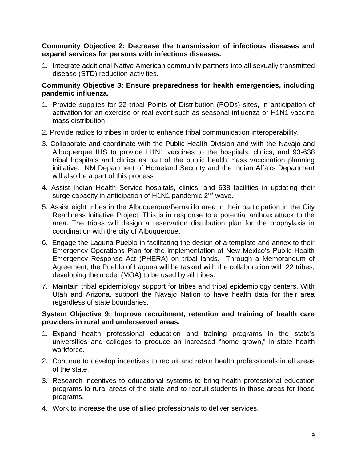#### **Community Objective 2: Decrease the transmission of infectious diseases and expand services for persons with infectious diseases.**

1. Integrate additional Native American community partners into all sexually transmitted disease (STD) reduction activities.

#### **Community Objective 3: Ensure preparedness for health emergencies, including pandemic influenza.**

- 1. Provide supplies for 22 tribal Points of Distribution (PODs) sites, in anticipation of activation for an exercise or real event such as seasonal influenza or H1N1 vaccine mass distribution.
- 2. Provide radios to tribes in order to enhance tribal communication interoperability.
- 3. Collaborate and coordinate with the Public Health Division and with the Navajo and Albuquerque IHS to provide H1N1 vaccines to the hospitals, clinics, and 93-638 tribal hospitals and clinics as part of the public health mass vaccination planning initiative. NM Department of Homeland Security and the Indian Affairs Department will also be a part of this process
- 4. Assist Indian Health Service hospitals, clinics, and 638 facilities in updating their surge capacity in anticipation of H1N1 pandemic 2<sup>nd</sup> wave.
- 5. Assist eight tribes in the Albuquerque/Bernalillo area in their participation in the City Readiness Initiative Project. This is in response to a potential anthrax attack to the area. The tribes will design a reservation distribution plan for the prophylaxis in coordination with the city of Albuquerque.
- 6. Engage the Laguna Pueblo in facilitating the design of a template and annex to their Emergency Operations Plan for the implementation of New Mexico's Public Health Emergency Response Act (PHERA) on tribal lands. Through a Memorandum of Agreement, the Pueblo of Laguna will be tasked with the collaboration with 22 tribes, developing the model (MOA) to be used by all tribes.
- 7. Maintain tribal epidemiology support for tribes and tribal epidemiology centers. With Utah and Arizona, support the Navajo Nation to have health data for their area regardless of state boundaries.

#### **System Objective 9: Improve recruitment, retention and training of health care providers in rural and underserved areas.**

- 1. Expand health professional education and training programs in the state's universities and colleges to produce an increased "home grown," in-state health workforce.
- 2. Continue to develop incentives to recruit and retain health professionals in all areas of the state.
- 3. Research incentives to educational systems to bring health professional education programs to rural areas of the state and to recruit students in those areas for those programs.
- 4. Work to increase the use of allied professionals to deliver services.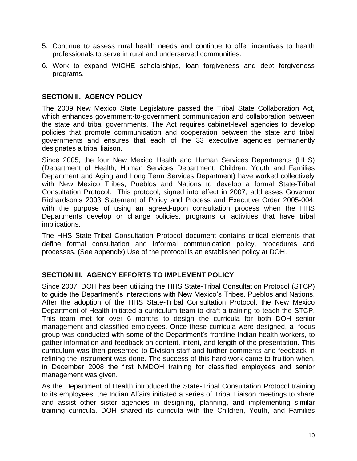- 5. Continue to assess rural health needs and continue to offer incentives to health professionals to serve in rural and underserved communities.
- 6. Work to expand WICHE scholarships, loan forgiveness and debt forgiveness programs.

#### **SECTION II. AGENCY POLICY**

The 2009 New Mexico State Legislature passed the Tribal State Collaboration Act, which enhances government-to-government communication and collaboration between the state and tribal governments. The Act requires cabinet-level agencies to develop policies that promote communication and cooperation between the state and tribal governments and ensures that each of the 33 executive agencies permanently designates a tribal liaison.

Since 2005, the four New Mexico Health and Human Services Departments (HHS) (Department of Health; Human Services Department; Children, Youth and Families Department and Aging and Long Term Services Department) have worked collectively with New Mexico Tribes, Pueblos and Nations to develop a formal State-Tribal Consultation Protocol. This protocol, signed into effect in 2007, addresses Governor Richardson's 2003 Statement of Policy and Process and Executive Order 2005-004, with the purpose of using an agreed-upon consultation process when the HHS Departments develop or change policies, programs or activities that have tribal implications.

The HHS State-Tribal Consultation Protocol document contains critical elements that define formal consultation and informal communication policy, procedures and processes. (See appendix) Use of the protocol is an established policy at DOH.

#### **SECTION III. AGENCY EFFORTS TO IMPLEMENT POLICY**

Since 2007, DOH has been utilizing the HHS State-Tribal Consultation Protocol (STCP) to guide the Department's interactions with New Mexico's Tribes, Pueblos and Nations. After the adoption of the HHS State-Tribal Consultation Protocol, the New Mexico Department of Health initiated a curriculum team to draft a training to teach the STCP. This team met for over 6 months to design the curricula for both DOH senior management and classified employees. Once these curricula were designed, a focus group was conducted with some of the Department's frontline Indian health workers, to gather information and feedback on content, intent, and length of the presentation. This curriculum was then presented to Division staff and further comments and feedback in refining the instrument was done. The success of this hard work came to fruition when, in December 2008 the first NMDOH training for classified employees and senior management was given.

As the Department of Health introduced the State-Tribal Consultation Protocol training to its employees, the Indian Affairs initiated a series of Tribal Liaison meetings to share and assist other sister agencies in designing, planning, and implementing similar training curricula. DOH shared its curricula with the Children, Youth, and Families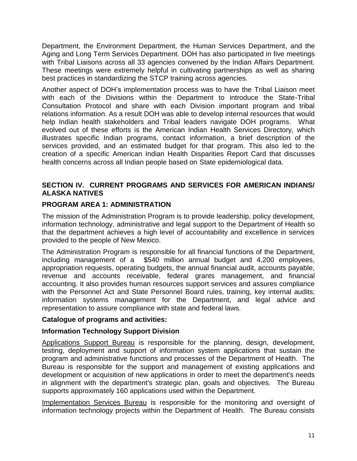Department, the Environment Department, the Human Services Department, and the Aging and Long Term Services Department. DOH has also participated in five meetings with Tribal Liaisons across all 33 agencies convened by the Indian Affairs Department. These meetings were extremely helpful in cultivating partnerships as well as sharing best practices in standardizing the STCP training across agencies.

Another aspect of DOH's implementation process was to have the Tribal Liaison meet with each of the Divisions within the Department to introduce the State-Tribal Consultation Protocol and share with each Division important program and tribal relations information. As a result DOH was able to develop internal resources that would help Indian health stakeholders and Tribal leaders navigate DOH programs. What evolved out of these efforts is the American Indian Health Services Directory, which illustrates specific Indian programs, contact information, a brief description of the services provided, and an estimated budget for that program. This also led to the creation of a specific American Indian Health Disparities Report Card that discusses health concerns across all Indian people based on State epidemiological data.

#### **SECTION IV. CURRENT PROGRAMS AND SERVICES FOR AMERICAN INDIANS/ ALASKA NATIVES**

#### **PROGRAM AREA 1: ADMINISTRATION**

The mission of the Administration Program is to provide leadership, policy development, information technology, administrative and legal support to the Department of Health so that the department achieves a high level of accountability and excellence in services provided to the people of New Mexico.

The Administration Program is responsible for all financial functions of the Department, including management of a \$540 million annual budget and 4,200 employees, appropriation requests, operating budgets, the annual financial audit, accounts payable, revenue and accounts receivable, federal grants management, and financial accounting. It also provides human resources support services and assures compliance with the Personnel Act and State Personnel Board rules, training, key internal audits; information systems management for the Department, and legal advice and representation to assure compliance with state and federal laws.

#### **Catalogue of programs and activities:**

## **Information Technology Support Division**

Applications Support Bureau is responsible for the planning, design, development, testing, deployment and support of information system applications that sustain the program and administrative functions and processes of the Department of Health. The Bureau is responsible for the support and management of existing applications and development or acquisition of new applications in order to meet the department's needs in alignment with the department's strategic plan, goals and objectives. The Bureau supports approximately 160 applications used within the Department.

Implementation Services Bureau is responsible for the monitoring and oversight of information technology projects within the Department of Health. The Bureau consists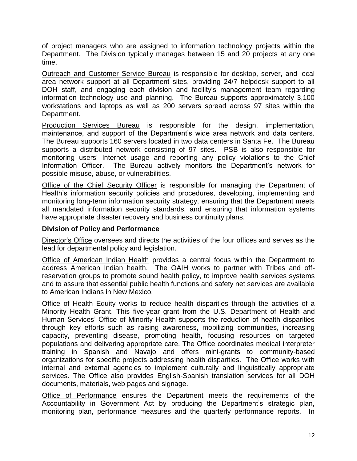of project managers who are assigned to information technology projects within the Department. The Division typically manages between 15 and 20 projects at any one time.

Outreach and Customer Service Bureau is responsible for desktop, server, and local area network support at all Department sites, providing 24/7 helpdesk support to all DOH staff, and engaging each division and facility's management team regarding information technology use and planning. The Bureau supports approximately 3,100 workstations and laptops as well as 200 servers spread across 97 sites within the Department.

Production Services Bureau is responsible for the design, implementation, maintenance, and support of the Department's wide area network and data centers. The Bureau supports 160 servers located in two data centers in Santa Fe. The Bureau supports a distributed network consisting of 97 sites. PSB is also responsible for monitoring users' Internet usage and reporting any policy violations to the Chief Information Officer. The Bureau actively monitors the Department's network for possible misuse, abuse, or vulnerabilities.

Office of the Chief Security Officer is responsible for managing the Department of Health's information security policies and procedures, developing, implementing and monitoring long-term information security strategy, ensuring that the Department meets all mandated information security standards, and ensuring that information systems have appropriate disaster recovery and business continuity plans.

#### **Division of Policy and Performance**

Director's Office oversees and directs the activities of the four offices and serves as the lead for departmental policy and legislation.

Office of American Indian Health provides a central focus within the Department to address American Indian health. The OAIH works to partner with Tribes and offreservation groups to promote sound health policy, to improve health services systems and to assure that essential public health functions and safety net services are available to American Indians in New Mexico.

Office of Health Equity works to reduce health disparities through the activities of a Minority Health Grant. This five-year grant from the U.S. Department of Health and Human Services' Office of Minority Health supports the reduction of health disparities through key efforts such as raising awareness, mobilizing communities, increasing capacity, preventing disease, promoting health, focusing resources on targeted populations and delivering appropriate care. The Office coordinates medical interpreter training in Spanish and Navajo and offers mini-grants to community-based organizations for specific projects addressing health disparities. The Office works with internal and external agencies to implement culturally and linguistically appropriate services. The Office also provides English-Spanish translation services for all DOH documents, materials, web pages and signage.

Office of Performance ensures the Department meets the requirements of the Accountability in Government Act by producing the Department's strategic plan, monitoring plan, performance measures and the quarterly performance reports. In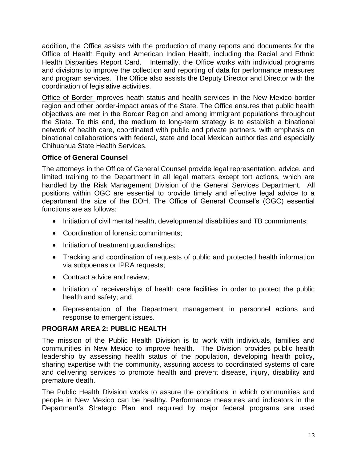addition, the Office assists with the production of many reports and documents for the Office of Health Equity and American Indian Health, including the Racial and Ethnic Health Disparities Report Card. Internally, the Office works with individual programs and divisions to improve the collection and reporting of data for performance measures and program services. The Office also assists the Deputy Director and Director with the coordination of legislative activities.

Office of Border improves heath status and health services in the New Mexico border region and other border-impact areas of the State. The Office ensures that public health objectives are met in the Border Region and among immigrant populations throughout the State. To this end, the medium to long-term strategy is to establish a binational network of health care, coordinated with public and private partners, with emphasis on binational collaborations with federal, state and local Mexican authorities and especially Chihuahua State Health Services.

## **Office of General Counsel**

The attorneys in the Office of General Counsel provide legal representation, advice, and limited training to the Department in all legal matters except tort actions, which are handled by the Risk Management Division of the General Services Department. All positions within OGC are essential to provide timely and effective legal advice to a department the size of the DOH. The Office of General Counsel's (OGC) essential functions are as follows:

- Initiation of civil mental health, developmental disabilities and TB commitments;
- Coordination of forensic commitments;
- Initiation of treatment quardianships;
- Tracking and coordination of requests of public and protected health information via subpoenas or IPRA requests;
- Contract advice and review;
- Initiation of receiverships of health care facilities in order to protect the public health and safety; and
- Representation of the Department management in personnel actions and response to emergent issues.

# **PROGRAM AREA 2: PUBLIC HEALTH**

The mission of the Public Health Division is to work with individuals, families and communities in New Mexico to improve health. The Division provides public health leadership by assessing health status of the population, developing health policy, sharing expertise with the community, assuring access to coordinated systems of care and delivering services to promote health and prevent disease, injury, disability and premature death.

The Public Health Division works to assure the conditions in which communities and people in New Mexico can be healthy. Performance measures and indicators in the Department's Strategic Plan and required by major federal programs are used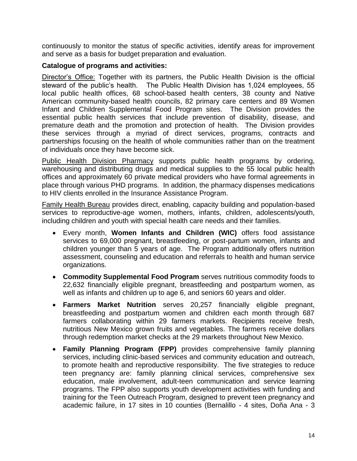continuously to monitor the status of specific activities, identify areas for improvement and serve as a basis for budget preparation and evaluation.

#### **Catalogue of programs and activities:**

Director's Office: Together with its partners, the Public Health Division is the official steward of the public's health. The Public Health Division has 1,024 employees, 55 local public health offices, 68 school-based health centers, 38 county and Native American community-based health councils, 82 primary care centers and 89 Women Infant and Children Supplemental Food Program sites. The Division provides the essential public health services that include prevention of disability, disease, and premature death and the promotion and protection of health. The Division provides these services through a myriad of direct services, programs, contracts and partnerships focusing on the health of whole communities rather than on the treatment of individuals once they have become sick.

Public Health Division Pharmacy supports public health programs by ordering, warehousing and distributing drugs and medical supplies to the 55 local public health offices and approximately 60 private medical providers who have formal agreements in place through various PHD programs. In addition, the pharmacy dispenses medications to HIV clients enrolled in the Insurance Assistance Program.

Family Health Bureau provides direct, enabling, capacity building and population-based services to reproductive-age women, mothers, infants, children, adolescents/youth, including children and youth with special health care needs and their families.

- Every month, **Women Infants and Children (WIC)** offers food assistance services to 69,000 pregnant, breastfeeding, or post-partum women, infants and children younger than 5 years of age. The Program additionally offers nutrition assessment, counseling and education and referrals to health and human service organizations.
- **Commodity Supplemental Food Program** serves nutritious commodity foods to 22,632 financially eligible pregnant, breastfeeding and postpartum women, as well as infants and children up to age 6, and seniors 60 years and older.
- **Farmers Market Nutrition** serves 20,257 financially eligible pregnant, breastfeeding and postpartum women and children each month through 687 farmers collaborating within 29 farmers markets. Recipients receive fresh, nutritious New Mexico grown fruits and vegetables. The farmers receive dollars through redemption market checks at the 29 markets throughout New Mexico.
- **Family Planning Program (FPP)** provides comprehensive family planning services, including clinic-based services and community education and outreach, to promote health and reproductive responsibility. The five strategies to reduce teen pregnancy are: family planning clinical services, comprehensive sex education, male involvement, adult-teen communication and service learning programs. The FPP also supports youth development activities with funding and training for the Teen Outreach Program, designed to prevent teen pregnancy and academic failure, in 17 sites in 10 counties (Bernalillo - 4 sites, Doña Ana - 3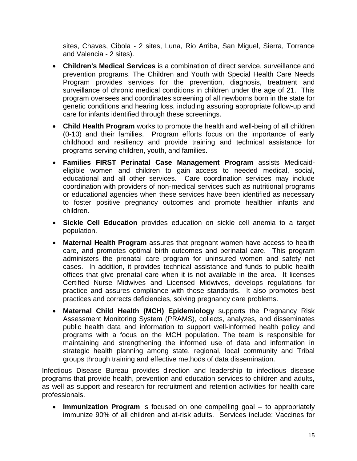sites, Chaves, Cibola - 2 sites, Luna, Rio Arriba, San Miguel, Sierra, Torrance and Valencia - 2 sites).

- **Children's Medical Services** is a combination of direct service, surveillance and prevention programs. The Children and Youth with Special Health Care Needs Program provides services for the prevention, diagnosis, treatment and surveillance of chronic medical conditions in children under the age of 21. This program oversees and coordinates screening of all newborns born in the state for genetic conditions and hearing loss, including assuring appropriate follow-up and care for infants identified through these screenings.
- **Child Health Program** works to promote the health and well-being of all children (0-10) and their families. Program efforts focus on the importance of early childhood and resiliency and provide training and technical assistance for programs serving children, youth, and families.
- **Families FIRST Perinatal Case Management Program** assists Medicaideligible women and children to gain access to needed medical, social, educational and all other services. Care coordination services may include coordination with providers of non-medical services such as nutritional programs or educational agencies when these services have been identified as necessary to foster positive pregnancy outcomes and promote healthier infants and children.
- **Sickle Cell Education** provides education on sickle cell anemia to a target population.
- **Maternal Health Program** assures that pregnant women have access to health care, and promotes optimal birth outcomes and perinatal care. This program administers the prenatal care program for uninsured women and safety net cases. In addition, it provides technical assistance and funds to public health offices that give prenatal care when it is not available in the area. It licenses Certified Nurse Midwives and Licensed Midwives, develops regulations for practice and assures compliance with those standards. It also promotes best practices and corrects deficiencies, solving pregnancy care problems.
- **Maternal Child Health (MCH) Epidemiology** supports the Pregnancy Risk Assessment Monitoring System (PRAMS), collects, analyzes, and disseminates public health data and information to support well-informed health policy and programs with a focus on the MCH population. The team is responsible for maintaining and strengthening the informed use of data and information in strategic health planning among state, regional, local community and Tribal groups through training and effective methods of data dissemination.

Infectious Disease Bureau provides direction and leadership to infectious disease programs that provide health, prevention and education services to children and adults, as well as support and research for recruitment and retention activities for health care professionals.

• **Immunization Program** is focused on one compelling goal – to appropriately immunize 90% of all children and at-risk adults. Services include: Vaccines for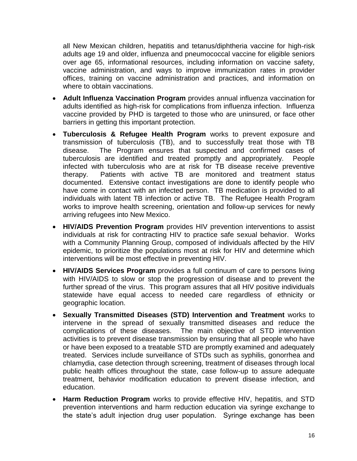all New Mexican children, hepatitis and tetanus/diphtheria vaccine for high-risk adults age 19 and older, influenza and pneumococcal vaccine for eligible seniors over age 65, informational resources, including information on vaccine safety, vaccine administration, and ways to improve immunization rates in provider offices, training on vaccine administration and practices, and information on where to obtain vaccinations.

- **Adult Influenza Vaccination Program** provides annual influenza vaccination for adults identified as high-risk for complications from influenza infection. Influenza vaccine provided by PHD is targeted to those who are uninsured, or face other barriers in getting this important protection.
- **Tuberculosis & Refugee Health Program** works to prevent exposure and transmission of tuberculosis (TB), and to successfully treat those with TB disease. The Program ensures that suspected and confirmed cases of tuberculosis are identified and treated promptly and appropriately. People infected with tuberculosis who are at risk for TB disease receive preventive therapy. Patients with active TB are monitored and treatment status documented. Extensive contact investigations are done to identify people who have come in contact with an infected person. TB medication is provided to all individuals with latent TB infection or active TB. The Refugee Health Program works to improve health screening, orientation and follow-up services for newly arriving refugees into New Mexico.
- **HIV/AIDS Prevention Program** provides HIV prevention interventions to assist individuals at risk for contracting HIV to practice safe sexual behavior. Works with a Community Planning Group, composed of individuals affected by the HIV epidemic, to prioritize the populations most at risk for HIV and determine which interventions will be most effective in preventing HIV.
- **HIV/AIDS Services Program** provides a full continuum of care to persons living with HIV/AIDS to slow or stop the progression of disease and to prevent the further spread of the virus. This program assures that all HIV positive individuals statewide have equal access to needed care regardless of ethnicity or geographic location.
- **Sexually Transmitted Diseases (STD) Intervention and Treatment** works to intervene in the spread of sexually transmitted diseases and reduce the complications of these diseases. The main objective of STD intervention activities is to prevent disease transmission by ensuring that all people who have or have been exposed to a treatable STD are promptly examined and adequately treated. Services include surveillance of STDs such as syphilis, gonorrhea and chlamydia, case detection through screening, treatment of diseases through local public health offices throughout the state, case follow-up to assure adequate treatment, behavior modification education to prevent disease infection, and education.
- **Harm Reduction Program** works to provide effective HIV, hepatitis, and STD prevention interventions and harm reduction education via syringe exchange to the state's adult injection drug user population. Syringe exchange has been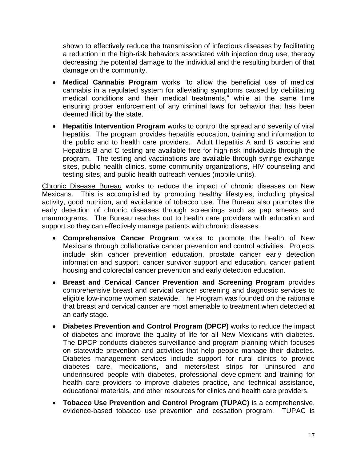shown to effectively reduce the transmission of infectious diseases by facilitating a reduction in the high-risk behaviors associated with injection drug use, thereby decreasing the potential damage to the individual and the resulting burden of that damage on the community.

- **Medical Cannabis Program** works "to allow the beneficial use of medical cannabis in a regulated system for alleviating symptoms caused by debilitating medical conditions and their medical treatments," while at the same time ensuring proper enforcement of any criminal laws for behavior that has been deemed illicit by the state.
- **Hepatitis Intervention Program** works to control the spread and severity of viral hepatitis. The program provides hepatitis education, training and information to the public and to health care providers. Adult Hepatitis A and B vaccine and Hepatitis B and C testing are available free for high-risk individuals through the program. The testing and vaccinations are available through syringe exchange sites, public health clinics, some community organizations, HIV counseling and testing sites, and public health outreach venues (mobile units).

Chronic Disease Bureau works to reduce the impact of chronic diseases on New Mexicans. This is accomplished by promoting healthy lifestyles, including physical activity, good nutrition, and avoidance of tobacco use. The Bureau also promotes the early detection of chronic diseases through screenings such as pap smears and mammograms. The Bureau reaches out to health care providers with education and support so they can effectively manage patients with chronic diseases.

- **Comprehensive Cancer Program** works to promote the health of New Mexicans through collaborative cancer prevention and control activities. Projects include skin cancer prevention education, prostate cancer early detection information and support, cancer survivor support and education, cancer patient housing and colorectal cancer prevention and early detection education.
- **Breast and Cervical Cancer Prevention and Screening Program** provides comprehensive breast and cervical cancer screening and diagnostic services to eligible low-income women statewide. The Program was founded on the rationale that breast and cervical cancer are most amenable to treatment when detected at an early stage.
- **Diabetes Prevention and Control Program (DPCP)** works to reduce the impact of diabetes and improve the quality of life for all New Mexicans with diabetes. The DPCP conducts diabetes surveillance and program planning which focuses on statewide prevention and activities that help people manage their diabetes. Diabetes management services include support for rural clinics to provide diabetes care, medications, and meters/test strips for uninsured and underinsured people with diabetes, professional development and training for health care providers to improve diabetes practice, and technical assistance, educational materials, and other resources for clinics and health care providers.
- **Tobacco Use Prevention and Control Program (TUPAC)** is a comprehensive, evidence-based tobacco use prevention and cessation program. TUPAC is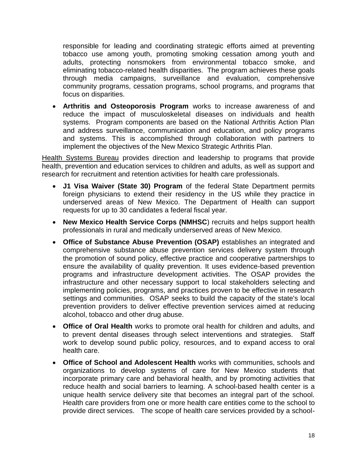responsible for leading and coordinating strategic efforts aimed at preventing tobacco use among youth, promoting smoking cessation among youth and adults, protecting nonsmokers from environmental tobacco smoke, and eliminating tobacco-related health disparities. The program achieves these goals through media campaigns, surveillance and evaluation, comprehensive community programs, cessation programs, school programs, and programs that focus on disparities.

• **Arthritis and Osteoporosis Program** works to increase awareness of and reduce the impact of musculoskeletal diseases on individuals and health systems. Program components are based on the National Arthritis Action Plan and address surveillance, communication and education, and policy programs and systems. This is accomplished through collaboration with partners to implement the objectives of the New Mexico Strategic Arthritis Plan.

Health Systems Bureau provides direction and leadership to programs that provide health, prevention and education services to children and adults, as well as support and research for recruitment and retention activities for health care professionals.

- **J1 Visa Waiver (State 30) Program** of the federal State Department permits foreign physicians to extend their residency in the US while they practice in underserved areas of New Mexico. The Department of Health can support requests for up to 30 candidates a federal fiscal year.
- **New Mexico Health Service Corps (NMHSC**) recruits and helps support health professionals in rural and medically underserved areas of New Mexico.
- **Office of Substance Abuse Prevention (OSAP)** establishes an integrated and comprehensive substance abuse prevention services delivery system through the promotion of sound policy, effective practice and cooperative partnerships to ensure the availability of quality prevention. It uses evidence-based prevention programs and infrastructure development activities. The OSAP provides the infrastructure and other necessary support to local stakeholders selecting and implementing policies, programs, and practices proven to be effective in research settings and communities. OSAP seeks to build the capacity of the state's local prevention providers to deliver effective prevention services aimed at reducing alcohol, tobacco and other drug abuse.
- **Office of Oral Health** works to promote oral health for children and adults, and to prevent dental diseases through select interventions and strategies. Staff work to develop sound public policy, resources, and to expand access to oral health care.
- **Office of School and Adolescent Health** works with communities, schools and organizations to develop systems of care for New Mexico students that incorporate primary care and behavioral health, and by promoting activities that reduce health and social barriers to learning. A school-based health center is a unique health service delivery site that becomes an integral part of the school. Health care providers from one or more health care entities come to the school to provide direct services. The scope of health care services provided by a school-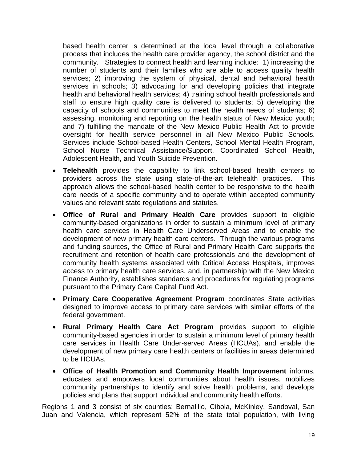based health center is determined at the local level through a collaborative process that includes the health care provider agency, the school district and the community. Strategies to connect health and learning include: 1) increasing the number of students and their families who are able to access quality health services; 2) improving the system of physical, dental and behavioral health services in schools; 3) advocating for and developing policies that integrate health and behavioral health services; 4) training school health professionals and staff to ensure high quality care is delivered to students; 5) developing the capacity of schools and communities to meet the health needs of students; 6) assessing, monitoring and reporting on the health status of New Mexico youth; and 7) fulfilling the mandate of the New Mexico Public Health Act to provide oversight for health service personnel in all New Mexico Public Schools. Services include School-based Health Centers, School Mental Health Program, School Nurse Technical Assistance/Support, Coordinated School Health, Adolescent Health, and Youth Suicide Prevention.

- **Telehealth** provides the capability to link school-based health centers to providers across the state using state-of-the-art telehealth practices. This approach allows the school-based health center to be responsive to the health care needs of a specific community and to operate within accepted community values and relevant state regulations and statutes.
- **Office of Rural and Primary Health Care** provides support to eligible community-based organizations in order to sustain a minimum level of primary health care services in Health Care Underserved Areas and to enable the development of new primary health care centers. Through the various programs and funding sources, the Office of Rural and Primary Health Care supports the recruitment and retention of health care professionals and the development of community health systems associated with Critical Access Hospitals, improves access to primary health care services, and, in partnership with the New Mexico Finance Authority, establishes standards and procedures for regulating programs pursuant to the Primary Care Capital Fund Act.
- **Primary Care Cooperative Agreement Program** coordinates State activities designed to improve access to primary care services with similar efforts of the federal government.
- **Rural Primary Health Care Act Program** provides support to eligible community-based agencies in order to sustain a minimum level of primary health care services in Health Care Under-served Areas (HCUAs), and enable the development of new primary care health centers or facilities in areas determined to be HCUAs.
- **Office of Health Promotion and Community Health Improvement** informs, educates and empowers local communities about health issues, mobilizes community partnerships to identify and solve health problems, and develops policies and plans that support individual and community health efforts.

Regions 1 and 3 consist of six counties: Bernalillo, Cibola, McKinley, Sandoval, San Juan and Valencia, which represent 52% of the state total population, with living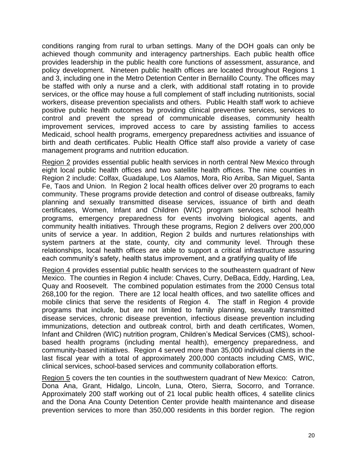conditions ranging from rural to urban settings. Many of the DOH goals can only be achieved though community and interagency partnerships. Each public health office provides leadership in the public health core functions of assessment, assurance, and policy development. Nineteen public health offices are located throughout Regions 1 and 3, including one in the Metro Detention Center in Bernalillo County. The offices may be staffed with only a nurse and a clerk, with additional staff rotating in to provide services, or the office may house a full complement of staff including nutritionists, social workers, disease prevention specialists and others. Public Health staff work to achieve positive public health outcomes by providing clinical preventive services, services to control and prevent the spread of communicable diseases, community health improvement services, improved access to care by assisting families to access Medicaid, school health programs, emergency preparedness activities and issuance of birth and death certificates. Public Health Office staff also provide a variety of case management programs and nutrition education.

Region 2 provides essential public health services in north central New Mexico through eight local public health offices and two satellite health offices. The nine counties in Region 2 include: Colfax, Guadalupe, Los Alamos, Mora, Rio Arriba, San Miguel, Santa Fe, Taos and Union. In Region 2 local health offices deliver over 20 programs to each community. These programs provide detection and control of disease outbreaks, family planning and sexually transmitted disease services, issuance of birth and death certificates, Women, Infant and Children (WIC) program services, school health programs, emergency preparedness for events involving biological agents, and community health initiatives. Through these programs, Region 2 delivers over 200,000 units of service a year. In addition, Region 2 builds and nurtures relationships with system partners at the state, county, city and community level. Through these relationships, local health offices are able to support a critical infrastructure assuring each community's safety, health status improvement, and a gratifying quality of life

Region 4 provides essential public health services to the southeastern quadrant of New Mexico. The counties in Region 4 include: Chaves, Curry, DeBaca, Eddy, Harding, Lea, Quay and Roosevelt. The combined population estimates from the 2000 Census total 268,100 for the region. There are 12 local health offices, and two satellite offices and mobile clinics that serve the residents of Region 4. The staff in Region 4 provide programs that include, but are not limited to family planning, sexually transmitted disease services, chronic disease prevention, infectious disease prevention including immunizations, detection and outbreak control, birth and death certificates, Women, Infant and Children (WIC) nutrition program, Children's Medical Services (CMS), schoolbased health programs (including mental health), emergency preparedness, and community-based initiatives. Region 4 served more than 35,000 individual clients in the last fiscal year with a total of approximately 200,000 contacts including CMS, WIC, clinical services, school-based services and community collaboration efforts.

Region 5 covers the ten counties in the southwestern quadrant of New Mexico: Catron, Dona Ana, Grant, Hidalgo, Lincoln, Luna, Otero, Sierra, Socorro, and Torrance. Approximately 200 staff working out of 21 local public health offices, 4 satellite clinics and the Dona Ana County Detention Center provide health maintenance and disease prevention services to more than 350,000 residents in this border region. The region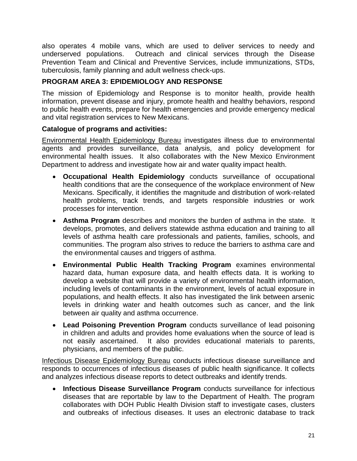also operates 4 mobile vans, which are used to deliver services to needy and underserved populations. Outreach and clinical services through the Disease Prevention Team and Clinical and Preventive Services, include immunizations, STDs, tuberculosis, family planning and adult wellness check-ups.

## **PROGRAM AREA 3: EPIDEMIOLOGY AND RESPONSE**

The mission of Epidemiology and Response is to monitor health, provide health information, prevent disease and injury, promote health and healthy behaviors, respond to public health events, prepare for health emergencies and provide emergency medical and vital registration services to New Mexicans.

## **Catalogue of programs and activities:**

Environmental Health Epidemiology Bureau investigates illness due to environmental agents and provides surveillance, data analysis, and policy development for environmental health issues. It also collaborates with the New Mexico Environment Department to address and investigate how air and water quality impact health.

- **Occupational Health Epidemiology** conducts surveillance of occupational health conditions that are the consequence of the workplace environment of New Mexicans. Specifically, it identifies the magnitude and distribution of work-related health problems, track trends, and targets responsible industries or work processes for intervention.
- **Asthma Program** describes and monitors the burden of asthma in the state. It develops, promotes, and delivers statewide asthma education and training to all levels of asthma health care professionals and patients, families, schools, and communities. The program also strives to reduce the barriers to asthma care and the environmental causes and triggers of asthma.
- **Environmental Public Health Tracking Program** examines environmental hazard data, human exposure data, and health effects data. It is working to develop a website that will provide a variety of environmental health information, including levels of contaminants in the environment, levels of actual exposure in populations, and health effects. It also has investigated the link between arsenic levels in drinking water and health outcomes such as cancer, and the link between air quality and asthma occurrence.
- **Lead Poisoning Prevention Program** conducts surveillance of lead poisoning in children and adults and provides home evaluations when the source of lead is not easily ascertained. It also provides educational materials to parents, physicians, and members of the public.

Infectious Disease Epidemiology Bureau conducts infectious disease surveillance and responds to occurrences of infectious diseases of public health significance. It collects and analyzes infectious disease reports to detect outbreaks and identify trends.

• **Infectious Disease Surveillance Program** conducts surveillance for infectious diseases that are reportable by law to the Department of Health. The program collaborates with DOH Public Health Division staff to investigate cases, clusters and outbreaks of infectious diseases. It uses an electronic database to track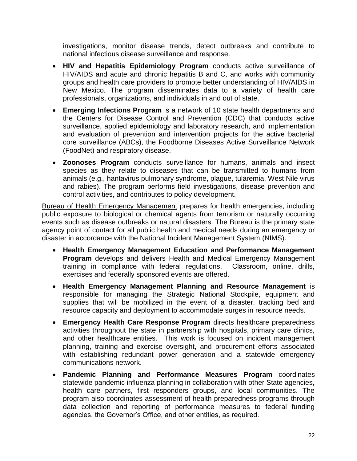investigations, monitor disease trends, detect outbreaks and contribute to national infectious disease surveillance and response.

- **HIV and Hepatitis Epidemiology Program** conducts active surveillance of HIV/AIDS and acute and chronic hepatitis B and C, and works with community groups and health care providers to promote better understanding of HIV/AIDS in New Mexico. The program disseminates data to a variety of health care professionals, organizations, and individuals in and out of state.
- **Emerging Infections Program** is a network of 10 state health departments and the Centers for Disease Control and Prevention (CDC) that conducts active surveillance, applied epidemiology and laboratory research, and implementation and evaluation of prevention and intervention projects for the active bacterial core surveillance (ABCs), the Foodborne Diseases Active Surveillance Network (FoodNet) and respiratory disease.
- **Zoonoses Program** conducts surveillance for humans, animals and insect species as they relate to diseases that can be transmitted to humans from animals (e.g., hantavirus pulmonary syndrome, plague, tularemia, West Nile virus and rabies). The program performs field investigations, disease prevention and control activities, and contributes to policy development.

**Bureau of Health Emergency Management prepares for health emergencies, including** public exposure to biological or chemical agents from terrorism or naturally occurring events such as disease outbreaks or natural disasters. The Bureau is the primary state agency point of contact for all public health and medical needs during an emergency or disaster in accordance with the National Incident Management System (NIMS).

- **Health Emergency Management Education and Performance Management Program** develops and delivers Health and Medical Emergency Management training in compliance with federal regulations. Classroom, online, drills, exercises and federally sponsored events are offered.
- **Health Emergency Management Planning and Resource Management** is responsible for managing the Strategic National Stockpile, equipment and supplies that will be mobilized in the event of a disaster, tracking bed and resource capacity and deployment to accommodate surges in resource needs.
- **Emergency Health Care Response Program** directs healthcare preparedness activities throughout the state in partnership with hospitals, primary care clinics, and other healthcare entities. This work is focused on incident management planning, training and exercise oversight, and procurement efforts associated with establishing redundant power generation and a statewide emergency communications network.
- **Pandemic Planning and Performance Measures Program** coordinates statewide pandemic influenza planning in collaboration with other State agencies, health care partners, first responders groups, and local communities. The program also coordinates assessment of health preparedness programs through data collection and reporting of performance measures to federal funding agencies, the Governor's Office, and other entities, as required.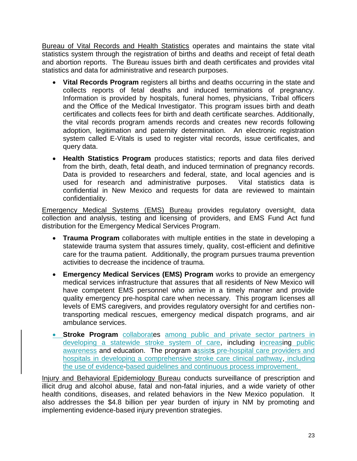Bureau of Vital Records and Health Statistics operates and maintains the state vital statistics system through the registration of births and deaths and receipt of fetal death and abortion reports. The Bureau issues birth and death certificates and provides vital statistics and data for administrative and research purposes.

- **Vital Records Program** registers all births and deaths occurring in the state and collects reports of fetal deaths and induced terminations of pregnancy. Information is provided by hospitals, funeral homes, physicians, Tribal officers and the Office of the Medical Investigator. This program issues birth and death certificates and collects fees for birth and death certificate searches. Additionally, the vital records program amends records and creates new records following adoption, legitimation and paternity determination. An electronic registration system called E-Vitals is used to register vital records, issue certificates, and query data.
- **Health Statistics Program** produces statistics; reports and data files derived from the birth, death, fetal death, and induced termination of pregnancy records. Data is provided to researchers and federal, state, and local agencies and is used for research and administrative purposes. Vital statistics data is confidential in New Mexico and requests for data are reviewed to maintain confidentiality.

Emergency Medical Systems (EMS) Bureau provides regulatory oversight, data collection and analysis, testing and licensing of providers, and EMS Fund Act fund distribution for the Emergency Medical Services Program.

- **Trauma Program** collaborates with multiple entities in the state in developing a statewide trauma system that assures timely, quality, cost-efficient and definitive care for the trauma patient. Additionally, the program pursues trauma prevention activities to decrease the incidence of trauma.
- **Emergency Medical Services (EMS) Program** works to provide an emergency medical services infrastructure that assures that all residents of New Mexico will have competent EMS personnel who arrive in a timely manner and provide quality emergency pre-hospital care when necessary. This program licenses all levels of EMS caregivers, and provides regulatory oversight for and certifies nontransporting medical rescues, emergency medical dispatch programs, and air ambulance services.
- **Stroke Program** collaborates among public and private sector partners in developing a statewide stroke system of care, including increasing public awareness and education. The program assists pre-hospital care providers and hospitals in developing a comprehensive stroke care clinical pathway, including the use of evidence-based guidelines and continuous process improvement.

Injury and Behavioral Epidemiology Bureau conducts surveillance of prescription and illicit drug and alcohol abuse, fatal and non-fatal injuries, and a wide variety of other health conditions, diseases, and related behaviors in the New Mexico population. It also addresses the \$4.8 billion per year burden of injury in NM by promoting and implementing evidence-based injury prevention strategies.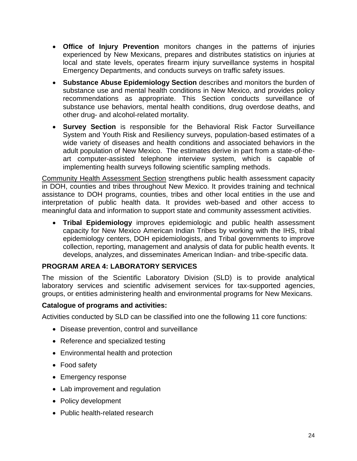- **Office of Injury Prevention** monitors changes in the patterns of injuries experienced by New Mexicans, prepares and distributes statistics on injuries at local and state levels, operates firearm injury surveillance systems in hospital Emergency Departments, and conducts surveys on traffic safety issues.
- **Substance Abuse Epidemiology Section** describes and monitors the burden of substance use and mental health conditions in New Mexico, and provides policy recommendations as appropriate. This Section conducts surveillance of substance use behaviors, mental health conditions, drug overdose deaths, and other drug- and alcohol-related mortality.
- **Survey Section** is responsible for the Behavioral Risk Factor Surveillance System and Youth Risk and Resiliency surveys, population-based estimates of a wide variety of diseases and health conditions and associated behaviors in the adult population of New Mexico. The estimates derive in part from a state-of-theart computer-assisted telephone interview system, which is capable of implementing health surveys following scientific sampling methods.

Community Health Assessment Section strengthens public health assessment capacity in DOH, counties and tribes throughout New Mexico. It provides training and technical assistance to DOH programs, counties, tribes and other local entities in the use and interpretation of public health data. It provides web-based and other access to meaningful data and information to support state and community assessment activities.

• **Tribal Epidemiology** improves epidemiologic and public health assessment capacity for New Mexico American Indian Tribes by working with the IHS, tribal epidemiology centers, DOH epidemiologists, and Tribal governments to improve collection, reporting, management and analysis of data for public health events. It develops, analyzes, and disseminates American Indian- and tribe-specific data.

## **PROGRAM AREA 4: LABORATORY SERVICES**

The mission of the Scientific Laboratory Division (SLD) is to provide analytical laboratory services and scientific advisement services for tax-supported agencies, groups, or entities administering health and environmental programs for New Mexicans.

## **Catalogue of programs and activities:**

Activities conducted by SLD can be classified into one the following 11 core functions:

- Disease prevention, control and surveillance
- Reference and specialized testing
- Environmental health and protection
- Food safety
- Emergency response
- Lab improvement and regulation
- Policy development
- Public health-related research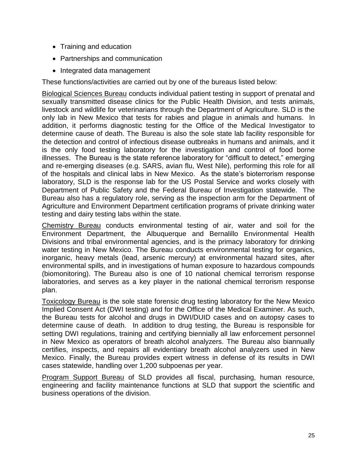- Training and education
- Partnerships and communication
- Integrated data management

These functions/activities are carried out by one of the bureaus listed below:

Biological Sciences Bureau conducts individual patient testing in support of prenatal and sexually transmitted disease clinics for the Public Health Division, and tests animals, livestock and wildlife for veterinarians through the Department of Agriculture. SLD is the only lab in New Mexico that tests for rabies and plague in animals and humans. In addition, it performs diagnostic testing for the Office of the Medical Investigator to determine cause of death. The Bureau is also the sole state lab facility responsible for the detection and control of infectious disease outbreaks in humans and animals, and it is the only food testing laboratory for the investigation and control of food borne illnesses. The Bureau is the state reference laboratory for "difficult to detect," emerging and re-emerging diseases (e.g. SARS, avian flu, West Nile), performing this role for all of the hospitals and clinical labs in New Mexico. As the state's bioterrorism response laboratory, SLD is the response lab for the US Postal Service and works closely with Department of Public Safety and the Federal Bureau of Investigation statewide. The Bureau also has a regulatory role, serving as the inspection arm for the Department of Agriculture and Environment Department certification programs of private drinking water testing and dairy testing labs within the state.

Chemistry Bureau conducts environmental testing of air, water and soil for the Environment Department, the Albuquerque and Bernalillo Environmental Health Divisions and tribal environmental agencies, and is the primacy laboratory for drinking water testing in New Mexico. The Bureau conducts environmental testing for organics, inorganic, heavy metals (lead, arsenic mercury) at environmental hazard sites, after environmental spills, and in investigations of human exposure to hazardous compounds (biomonitoring). The Bureau also is one of 10 national chemical terrorism response laboratories, and serves as a key player in the national chemical terrorism response plan.

Toxicology Bureau is the sole state forensic drug testing laboratory for the New Mexico Implied Consent Act (DWI testing) and for the Office of the Medical Examiner. As such, the Bureau tests for alcohol and drugs in DWI/DUID cases and on autopsy cases to determine cause of death. In addition to drug testing, the Bureau is responsible for setting DWI regulations, training and certifying biennially all law enforcement personnel in New Mexico as operators of breath alcohol analyzers. The Bureau also biannually certifies, inspects, and repairs all evidentiary breath alcohol analyzers used in New Mexico. Finally, the Bureau provides expert witness in defense of its results in DWI cases statewide, handling over 1,200 subpoenas per year.

Program Support Bureau of SLD provides all fiscal, purchasing, human resource, engineering and facility maintenance functions at SLD that support the scientific and business operations of the division.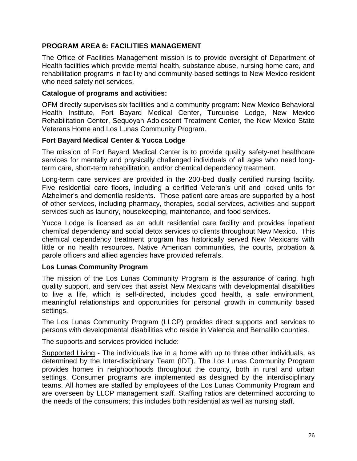## **PROGRAM AREA 6: FACILITIES MANAGEMENT**

The Office of Facilities Management mission is to provide oversight of Department of Health facilities which provide mental health, substance abuse, nursing home care, and rehabilitation programs in facility and community-based settings to New Mexico resident who need safety net services.

## **Catalogue of programs and activities:**

OFM directly supervises six facilities and a community program: New Mexico Behavioral Health Institute, Fort Bayard Medical Center, Turquoise Lodge, New Mexico Rehabilitation Center, Sequoyah Adolescent Treatment Center, the New Mexico State Veterans Home and Los Lunas Community Program.

## **Fort Bayard Medical Center & Yucca Lodge**

The mission of Fort Bayard Medical Center is to provide quality safety-net healthcare services for mentally and physically challenged individuals of all ages who need longterm care, short-term rehabilitation, and/or chemical dependency treatment.

Long-term care services are provided in the 200-bed dually certified nursing facility. Five residential care floors, including a certified Veteran's unit and locked units for Alzheimer's and dementia residents. Those patient care areas are supported by a host of other services, including pharmacy, therapies, social services, activities and support services such as laundry, housekeeping, maintenance, and food services.

Yucca Lodge is licensed as an adult residential care facility and provides inpatient chemical dependency and social detox services to clients throughout New Mexico. This chemical dependency treatment program has historically served New Mexicans with little or no health resources. Native American communities, the courts, probation & parole officers and allied agencies have provided referrals.

#### **Los Lunas Community Program**

The mission of the Los Lunas Community Program is the assurance of caring, high quality support, and services that assist New Mexicans with developmental disabilities to live a life, which is self-directed, includes good health, a safe environment, meaningful relationships and opportunities for personal growth in community based settings.

The Los Lunas Community Program (LLCP) provides direct supports and services to persons with developmental disabilities who reside in Valencia and Bernalillo counties.

The supports and services provided include:

Supported Living - The individuals live in a home with up to three other individuals, as determined by the Inter-disciplinary Team (IDT). The Los Lunas Community Program provides homes in neighborhoods throughout the county, both in rural and urban settings. Consumer programs are implemented as designed by the interdisciplinary teams. All homes are staffed by employees of the Los Lunas Community Program and are overseen by LLCP management staff. Staffing ratios are determined according to the needs of the consumers; this includes both residential as well as nursing staff.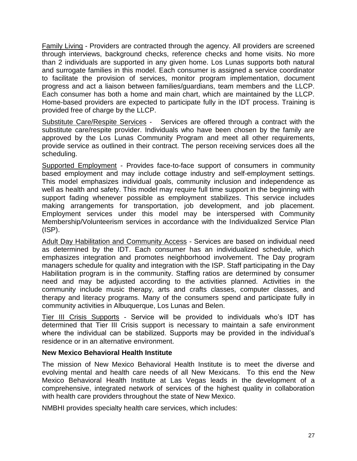Family Living - Providers are contracted through the agency. All providers are screened through interviews, background checks, reference checks and home visits. No more than 2 individuals are supported in any given home. Los Lunas supports both natural and surrogate families in this model. Each consumer is assigned a service coordinator to facilitate the provision of services, monitor program implementation, document progress and act a liaison between families/guardians, team members and the LLCP. Each consumer has both a home and main chart, which are maintained by the LLCP. Home-based providers are expected to participate fully in the IDT process. Training is provided free of charge by the LLCP.

Substitute Care/Respite Services - Services are offered through a contract with the substitute care/respite provider. Individuals who have been chosen by the family are approved by the Los Lunas Community Program and meet all other requirements, provide service as outlined in their contract. The person receiving services does all the scheduling.

Supported Employment - Provides face-to-face support of consumers in community based employment and may include cottage industry and self-employment settings. This model emphasizes individual goals, community inclusion and independence as well as health and safety. This model may require full time support in the beginning with support fading whenever possible as employment stabilizes. This service includes making arrangements for transportation, job development, and job placement. Employment services under this model may be interspersed with Community Membership/Volunteerism services in accordance with the Individualized Service Plan (ISP).

Adult Day Habilitation and Community Access - Services are based on individual need as determined by the IDT. Each consumer has an individualized schedule, which emphasizes integration and promotes neighborhood involvement. The Day program managers schedule for quality and integration with the ISP. Staff participating in the Day Habilitation program is in the community. Staffing ratios are determined by consumer need and may be adjusted according to the activities planned. Activities in the community include music therapy, arts and crafts classes, computer classes, and therapy and literacy programs. Many of the consumers spend and participate fully in community activities in Albuquerque, Los Lunas and Belen.

Tier III Crisis Supports - Service will be provided to individuals who's IDT has determined that Tier III Crisis support is necessary to maintain a safe environment where the individual can be stabilized. Supports may be provided in the individual's residence or in an alternative environment.

## **New Mexico Behavioral Health Institute**

The mission of New Mexico Behavioral Health Institute is to meet the diverse and evolving mental and health care needs of all New Mexicans. To this end the New Mexico Behavioral Health Institute at Las Vegas leads in the development of a comprehensive, integrated network of services of the highest quality in collaboration with health care providers throughout the state of New Mexico.

NMBHI provides specialty health care services, which includes: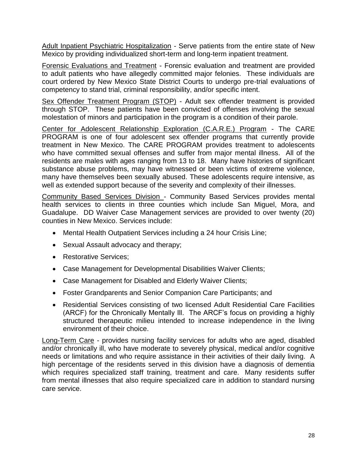Adult Inpatient Psychiatric Hospitalization - Serve patients from the entire state of New Mexico by providing individualized short-term and long-term inpatient treatment.

Forensic Evaluations and Treatment - Forensic evaluation and treatment are provided to adult patients who have allegedly committed major felonies. These individuals are court ordered by New Mexico State District Courts to undergo pre-trial evaluations of competency to stand trial, criminal responsibility, and/or specific intent.

Sex Offender Treatment Program (STOP) - Adult sex offender treatment is provided through STOP. These patients have been convicted of offenses involving the sexual molestation of minors and participation in the program is a condition of their parole.

Center for Adolescent Relationship Exploration (C.A.R.E.) Program - The CARE PROGRAM is one of four adolescent sex offender programs that currently provide treatment in New Mexico. The CARE PROGRAM provides treatment to adolescents who have committed sexual offenses and suffer from major mental illness. All of the residents are males with ages ranging from 13 to 18. Many have histories of significant substance abuse problems, may have witnessed or been victims of extreme violence, many have themselves been sexually abused. These adolescents require intensive, as well as extended support because of the severity and complexity of their illnesses.

Community Based Services Division - Community Based Services provides mental health services to clients in three counties which include San Miguel, Mora, and Guadalupe. DD Waiver Case Management services are provided to over twenty (20) counties in New Mexico. Services include:

- Mental Health Outpatient Services including a 24 hour Crisis Line;
- Sexual Assault advocacy and therapy;
- Restorative Services;
- Case Management for Developmental Disabilities Waiver Clients;
- Case Management for Disabled and Elderly Waiver Clients;
- Foster Grandparents and Senior Companion Care Participants; and
- Residential Services consisting of two licensed Adult Residential Care Facilities (ARCF) for the Chronically Mentally Ill. The ARCF's focus on providing a highly structured therapeutic milieu intended to increase independence in the living environment of their choice.

Long-Term Care - provides nursing facility services for adults who are aged, disabled and/or chronically ill, who have moderate to severely physical, medical and/or cognitive needs or limitations and who require assistance in their activities of their daily living. A high percentage of the residents served in this division have a diagnosis of dementia which requires specialized staff training, treatment and care. Many residents suffer from mental illnesses that also require specialized care in addition to standard nursing care service.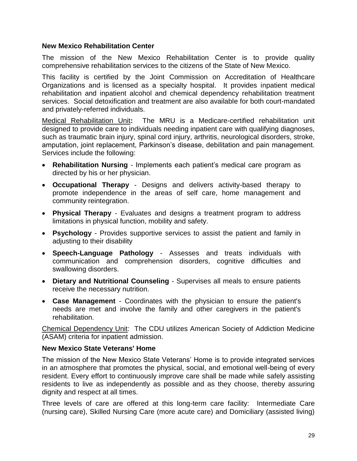#### **New Mexico Rehabilitation Center**

The mission of the New Mexico Rehabilitation Center is to provide quality comprehensive rehabilitation services to the citizens of the State of New Mexico.

This facility is certified by the Joint Commission on Accreditation of Healthcare Organizations and is licensed as a specialty hospital. It provides inpatient medical rehabilitation and inpatient alcohol and chemical dependency rehabilitation treatment services. Social detoxification and treatment are also available for both court-mandated and privately-referred individuals.

Medical Rehabilitation Unit**:** The MRU is a Medicare-certified rehabilitation unit designed to provide care to individuals needing inpatient care with qualifying diagnoses, such as traumatic brain injury, spinal cord injury, arthritis, neurological disorders, stroke, amputation, joint replacement, Parkinson's disease, debilitation and pain management. Services include the following:

- **Rehabilitation Nursing** Implements each patient's medical care program as directed by his or her physician.
- **Occupational Therapy** Designs and delivers activity-based therapy to promote independence in the areas of self care, home management and community reintegration.
- **Physical Therapy** Evaluates and designs a treatment program to address limitations in physical function, mobility and safety.
- **Psychology** Provides supportive services to assist the patient and family in adiusting to their disability
- **Speech-Language Pathology** Assesses and treats individuals with communication and comprehension disorders, cognitive difficulties and swallowing disorders.
- **Dietary and Nutritional Counseling** Supervises all meals to ensure patients receive the necessary nutrition.
- **Case Management** Coordinates with the physician to ensure the patient's needs are met and involve the family and other caregivers in the patient's rehabilitation.

Chemical Dependency Unit:The CDU utilizes American Society of Addiction Medicine (ASAM) criteria for inpatient admission.

#### **New Mexico State Veterans' Home**

The mission of the New Mexico State Veterans' Home is to provide integrated services in an atmosphere that promotes the physical, social, and emotional well-being of every resident. Every effort to continuously improve care shall be made while safely assisting residents to live as independently as possible and as they choose, thereby assuring dignity and respect at all times.

Three levels of care are offered at this long-term care facility: Intermediate Care (nursing care), Skilled Nursing Care (more acute care) and Domiciliary (assisted living)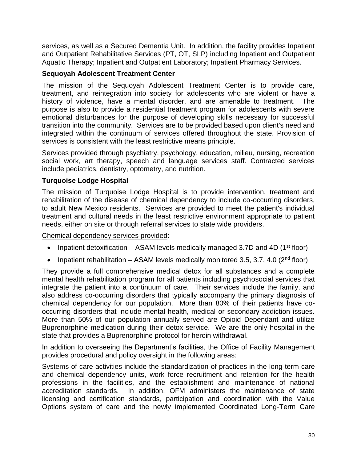services, as well as a Secured Dementia Unit. In addition, the facility provides Inpatient and Outpatient Rehabilitative Services (PT, OT, SLP) including Inpatient and Outpatient Aquatic Therapy; Inpatient and Outpatient Laboratory; Inpatient Pharmacy Services.

## **Sequoyah Adolescent Treatment Center**

The mission of the Sequoyah Adolescent Treatment Center is to provide care, treatment, and reintegration into society for adolescents who are violent or have a history of violence, have a mental disorder, and are amenable to treatment. The purpose is also to provide a residential treatment program for adolescents with severe emotional disturbances for the purpose of developing skills necessary for successful transition into the community. Services are to be provided based upon client's need and integrated within the continuum of services offered throughout the state. Provision of services is consistent with the least restrictive means principle.

Services provided through psychiatry, psychology, education, milieu, nursing, recreation social work, art therapy, speech and language services staff. Contracted services include pediatrics, dentistry, optometry, and nutrition.

## **Turquoise Lodge Hospital**

The mission of Turquoise Lodge Hospital is to provide intervention, treatment and rehabilitation of the disease of chemical dependency to include co-occurring disorders, to adult New Mexico residents. Services are provided to meet the patient's individual treatment and cultural needs in the least restrictive environment appropriate to patient needs, either on site or through referral services to state wide providers.

Chemical dependency services provided:

- Inpatient detoxification ASAM levels medically managed 3.7D and 4D (1<sup>st</sup> floor)
- Inpatient rehabilitation ASAM levels medically monitored 3.5, 3.7, 4.0 ( $2<sup>nd</sup>$  floor)

They provide a full comprehensive medical detox for all substances and a complete mental health rehabilitation program for all patients including psychosocial services that integrate the patient into a continuum of care. Their services include the family, and also address co-occurring disorders that typically accompany the primary diagnosis of chemical dependency for our population. More than 80% of their patients have cooccurring disorders that include mental health, medical or secondary addiction issues. More than 50% of our population annually served are Opioid Dependant and utilize Buprenorphine medication during their detox service. We are the only hospital in the state that provides a Buprenorphine protocol for heroin withdrawal.

In addition to overseeing the Department's facilities, the Office of Facility Management provides procedural and policy oversight in the following areas:

Systems of care activities include the standardization of practices in the long-term care and chemical dependency units, work force recruitment and retention for the health professions in the facilities, and the establishment and maintenance of national accreditation standards. In addition, OFM administers the maintenance of state licensing and certification standards, participation and coordination with the Value Options system of care and the newly implemented Coordinated Long-Term Care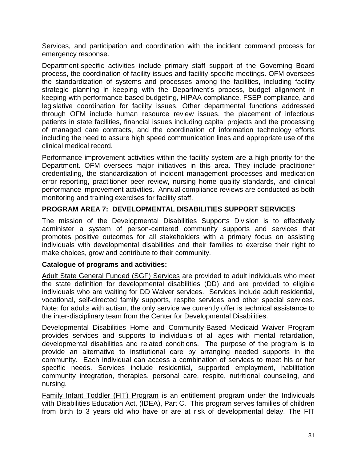Services, and participation and coordination with the incident command process for emergency response.

Department-specific activities include primary staff support of the Governing Board process, the coordination of facility issues and facility-specific meetings. OFM oversees the standardization of systems and processes among the facilities, including facility strategic planning in keeping with the Department's process, budget alignment in keeping with performance-based budgeting, HIPAA compliance, FSEP compliance, and legislative coordination for facility issues. Other departmental functions addressed through OFM include human resource review issues, the placement of infectious patients in state facilities, financial issues including capital projects and the processing of managed care contracts, and the coordination of information technology efforts including the need to assure high speed communication lines and appropriate use of the clinical medical record.

Performance improvement activities within the facility system are a high priority for the Department. OFM oversees major initiatives in this area. They include practitioner credentialing, the standardization of incident management processes and medication error reporting, practitioner peer review, nursing home quality standards, and clinical performance improvement activities. Annual compliance reviews are conducted as both monitoring and training exercises for facility staff.

## **PROGRAM AREA 7: DEVELOPMENTAL DISABILITIES SUPPORT SERVICES**

The mission of the Developmental Disabilities Supports Division is to effectively administer a system of person-centered community supports and services that promotes positive outcomes for all stakeholders with a primary focus on assisting individuals with developmental disabilities and their families to exercise their right to make choices, grow and contribute to their community.

#### **Catalogue of programs and activities:**

Adult State General Funded (SGF) Services are provided to adult individuals who meet the state definition for developmental disabilities (DD) and are provided to eligible individuals who are waiting for DD Waiver services. Services include adult residential, vocational, self-directed family supports, respite services and other special services. Note: for adults with autism, the only service we currently offer is technical assistance to the inter-disciplinary team from the Center for Developmental Disabilities.

Developmental Disabilities Home and Community-Based Medicaid Waiver Program provides services and supports to individuals of all ages with mental retardation, developmental disabilities and related conditions. The purpose of the program is to provide an alternative to institutional care by arranging needed supports in the community. Each individual can access a combination of services to meet his or her specific needs. Services include residential, supported employment, habilitation community integration, therapies, personal care, respite, nutritional counseling, and nursing.

Family Infant Toddler (FIT) Program is an entitlement program under the Individuals with Disabilities Education Act, (IDEA), Part C. This program serves families of children from birth to 3 years old who have or are at risk of developmental delay. The FIT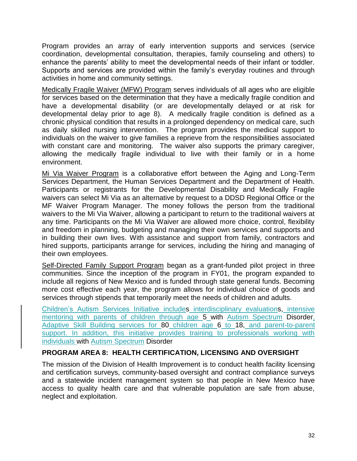Program provides an array of early intervention supports and services (service coordination, developmental consultation, therapies, family counseling and others) to enhance the parents' ability to meet the developmental needs of their infant or toddler. Supports and services are provided within the family's everyday routines and through activities in home and community settings.

Medically Fragile Waiver (MFW) Program serves individuals of all ages who are eligible for services based on the determination that they have a medically fragile condition and have a developmental disability (or are developmentally delayed or at risk for developmental delay prior to age 8). A medically fragile condition is defined as a chronic physical condition that results in a prolonged dependency on medical care, such as daily skilled nursing intervention. The program provides the medical support to individuals on the waiver to give families a reprieve from the responsibilities associated with constant care and monitoring. The waiver also supports the primary caregiver, allowing the medically fragile individual to live with their family or in a home environment.

Mi Via Waiver Program is a collaborative effort between the Aging and Long-Term Services Department, the Human Services Department and the Department of Health. Participants or registrants for the Developmental Disability and Medically Fragile waivers can select Mi Via as an alternative by request to a DDSD Regional Office or the MF Waiver Program Manager. The money follows the person from the traditional waivers to the Mi Via Waiver, allowing a participant to return to the traditional waivers at any time. Participants on the Mi Via Waiver are allowed more choice, control, flexibility and freedom in planning, budgeting and managing their own services and supports and in building their own lives. With assistance and support from family, contractors and hired supports, participants arrange for services, including the hiring and managing of their own employees.

Self-Directed Family Support Program began as a grant-funded pilot project in three communities. Since the inception of the program in FY01, the program expanded to include all regions of New Mexico and is funded through state general funds. Becoming more cost effective each year, the program allows for individual choice of goods and services through stipends that temporarily meet the needs of children and adults.

Children's Autism Services Initiative includes interdisciplinary evaluations, intensive mentoring with parents of children through age 5 with Autism Spectrum Disorder, Adaptive Skill Building services for 80 children age 6 to 18, and parent-to-parent support. In addition, this initiative provides training to professionals working with individuals with Autism Spectrum Disorder

## **PROGRAM AREA 8: HEALTH CERTIFICATION, LICENSING AND OVERSIGHT**

The mission of the Division of Health Improvement is to conduct health facility licensing and certification surveys, community-based oversight and contract compliance surveys and a statewide incident management system so that people in New Mexico have access to quality health care and that vulnerable population are safe from abuse, neglect and exploitation.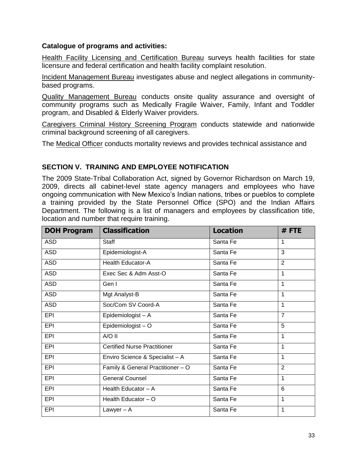## **Catalogue of programs and activities:**

Health Facility Licensing and Certification Bureau surveys health facilities for state licensure and federal certification and health facility complaint resolution.

Incident Management Bureau investigates abuse and neglect allegations in communitybased programs.

Quality Management Bureau conducts onsite quality assurance and oversight of community programs such as Medically Fragile Waiver, Family, Infant and Toddler program, and Disabled & Elderly Waiver providers.

Caregivers Criminal History Screening Program conducts statewide and nationwide criminal background screening of all caregivers.

The Medical Officer conducts mortality reviews and provides technical assistance and

## **SECTION V. TRAINING AND EMPLOYEE NOTIFICATION**

The 2009 State-Tribal Collaboration Act, signed by Governor Richardson on March 19, 2009, directs all cabinet-level state agency managers and employees who have ongoing communication with New Mexico's Indian nations, tribes or pueblos to complete a training provided by the State Personnel Office (SPO) and the Indian Affairs Department. The following is a list of managers and employees by classification title, location and number that require training.

| <b>DOH Program</b> | <b>Classification</b>               | <b>Location</b> | #FTE           |
|--------------------|-------------------------------------|-----------------|----------------|
| <b>ASD</b>         | <b>Staff</b>                        | Santa Fe        | 1              |
| <b>ASD</b>         | Epidemiologist-A                    | Santa Fe        | 3              |
| <b>ASD</b>         | Health Educator-A                   | Santa Fe        | 2              |
| <b>ASD</b>         | Exec Sec & Adm Asst-O               | Santa Fe        | $\mathbf{1}$   |
| <b>ASD</b>         | Gen I                               | Santa Fe        | $\mathbf 1$    |
| <b>ASD</b>         | Mgt Analyst-B                       | Santa Fe        | $\mathbf 1$    |
| <b>ASD</b>         | Soc/Com SV Coord-A                  | Santa Fe        | $\mathbf 1$    |
| <b>EPI</b>         | Epidemiologist - A                  | Santa Fe        | $\overline{7}$ |
| <b>EPI</b>         | Epidemiologist-O                    | Santa Fe        | 5              |
| <b>EPI</b>         | A/O II                              | Santa Fe        | 1              |
| <b>EPI</b>         | <b>Certified Nurse Practitioner</b> | Santa Fe        | 1              |
| <b>EPI</b>         | Enviro Science & Specialist - A     | Santa Fe        | 1              |
| <b>EPI</b>         | Family & General Practitioner - O   | Santa Fe        | $\overline{2}$ |
| <b>EPI</b>         | <b>General Counsel</b>              | Santa Fe        | $\mathbf{1}$   |
| <b>EPI</b>         | Health Educator - A                 | Santa Fe        | 6              |
| <b>EPI</b>         | Health Educator - O                 | Santa Fe        | 1              |
| <b>EPI</b>         | Lawyer $-$ A                        | Santa Fe        | $\mathbf{1}$   |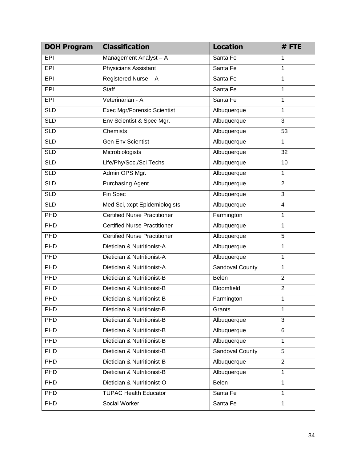| <b>DOH Program</b> | <b>Classification</b>               | <b>Location</b>        | #FTE           |
|--------------------|-------------------------------------|------------------------|----------------|
| EPI                | Management Analyst - A              | Santa Fe               | 1              |
| <b>EPI</b>         | <b>Physicians Assistant</b>         | Santa Fe               | 1              |
| EPI                | Registered Nurse - A                | Santa Fe               | 1              |
| <b>EPI</b>         | <b>Staff</b>                        | Santa Fe               | 1              |
| EPI                | Veterinarian - A                    | Santa Fe               | 1              |
| <b>SLD</b>         | <b>Exec Mgr/Forensic Scientist</b>  | Albuquerque            | 1              |
| <b>SLD</b>         | Env Scientist & Spec Mgr.           | Albuquerque            | 3              |
| <b>SLD</b>         | <b>Chemists</b>                     | Albuquerque            | 53             |
| <b>SLD</b>         | <b>Gen Env Scientist</b>            | Albuquerque            | $\mathbf{1}$   |
| <b>SLD</b>         | Microbiologists                     | Albuquerque            | 32             |
| <b>SLD</b>         | Life/Phy/Soc./Sci Techs             | Albuquerque            | 10             |
| <b>SLD</b>         | Admin OPS Mgr.                      | Albuquerque            | $\mathbf{1}$   |
| <b>SLD</b>         | <b>Purchasing Agent</b>             | Albuquerque            | $\overline{2}$ |
| <b>SLD</b>         | Fin Spec                            | Albuquerque            | $\overline{3}$ |
| <b>SLD</b>         | Med Sci, xcpt Epidemiologists       | Albuquerque            | 4              |
| PHD                | <b>Certified Nurse Practitioner</b> | Farmington             | 1              |
| PHD                | <b>Certified Nurse Practitioner</b> | Albuquerque            | 1              |
| PHD                | <b>Certified Nurse Practitioner</b> | Albuquerque            | 5              |
| PHD                | Dietician & Nutritionist-A          | Albuquerque            | 1              |
| PHD                | Dietician & Nutritionist-A          | Albuquerque            | 1              |
| PHD                | Dietician & Nutritionist-A          | <b>Sandoval County</b> | 1              |
| PHD                | Dietician & Nutritionist-B          | Belen                  | $\overline{2}$ |
| PHD                | Dietician & Nutritionist-B          | Bloomfield             | $\overline{2}$ |
| PHD                | Dietician & Nutritionist-B          | Farmington             | 1              |
| <b>PHD</b>         | Dietician & Nutritionist-B          | Grants                 | 1              |
| <b>PHD</b>         | Dietician & Nutritionist-B          | Albuquerque            | 3              |
| <b>PHD</b>         | Dietician & Nutritionist-B          | Albuquerque            | 6              |
| <b>PHD</b>         | Dietician & Nutritionist-B          | Albuquerque            | $\mathbf{1}$   |
| <b>PHD</b>         | Dietician & Nutritionist-B          | Sandoval County        | 5              |
| <b>PHD</b>         | Dietician & Nutritionist-B          | Albuquerque            | $\overline{2}$ |
| <b>PHD</b>         | Dietician & Nutritionist-B          | Albuquerque            | $\mathbf{1}$   |
| <b>PHD</b>         | Dietician & Nutritionist-O          | Belen                  | $\mathbf 1$    |
| <b>PHD</b>         | <b>TUPAC Health Educator</b>        | Santa Fe               | $\mathbf{1}$   |
| <b>PHD</b>         | Social Worker                       | Santa Fe               | 1              |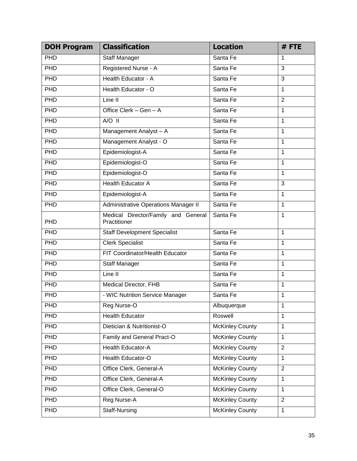| <b>DOH Program</b> | <b>Classification</b>                               | <b>Location</b>        | #FTE           |
|--------------------|-----------------------------------------------------|------------------------|----------------|
| PHD                | <b>Staff Manager</b>                                | Santa Fe               | 1              |
| PHD                | Registered Nurse - A                                | Santa Fe               | 3              |
| PHD                | Health Educator - A                                 | Santa Fe               | $\overline{3}$ |
| PHD                | Health Educator - O                                 | Santa Fe               | $\mathbf{1}$   |
| PHD                | Line II                                             | Santa Fe               | $\overline{2}$ |
| PHD                | Office Clerk - Gen - A                              | Santa Fe               | $\mathbf{1}$   |
| PHD                | $A/O$ II                                            | Santa Fe               | 1              |
| PHD                | Management Analyst - A                              | Santa Fe               | $\mathbf{1}$   |
| PHD                | Management Analyst - O                              | Santa Fe               | $\overline{1}$ |
| PHD                | Epidemiologist-A                                    | Santa Fe               | $\mathbf{1}$   |
| PHD                | Epidemiologist-O                                    | Santa Fe               | $\overline{1}$ |
| PHD                | Epidemiologist-O                                    | Santa Fe               | $\mathbf{1}$   |
| PHD                | <b>Health Educator A</b>                            | Santa Fe               | $\overline{3}$ |
| PHD                | Epidemiologist-A                                    | Santa Fe               | $\mathbf{1}$   |
| PHD                | <b>Administrative Operations Manager II</b>         | Santa Fe               | $\mathbf{1}$   |
| <b>PHD</b>         | Medical Director/Family and General<br>Practitioner | Santa Fe               | $\mathbf{1}$   |
| PHD                | <b>Staff Development Specialist</b>                 | Santa Fe               | $\mathbf{1}$   |
| <b>PHD</b>         | <b>Clerk Specialist</b>                             | Santa Fe               | $\mathbf{1}$   |
| PHD                | FIT Coordinator/Health Educator                     | Santa Fe               | 1              |
| PHD                | <b>Staff Manager</b>                                | Santa Fe               | $\mathbf{1}$   |
| PHD                | Line II                                             | Santa Fe               | $\mathbf{1}$   |
| PHD                | Medical Director, FHB                               | Santa Fe               | $\mathbf{1}$   |
| PHD                | - WIC Nutrition Service Manager                     | Santa Fe               | 1              |
| PHD                | Reg Nurse-O                                         | Albuquerque            | 1              |
| <b>PHD</b>         | <b>Health Educator</b>                              | Roswell                | 1              |
| <b>PHD</b>         | Dietician & Nutritionist-O                          | <b>McKinley County</b> | 1              |
| <b>PHD</b>         | Family and General Pract-O                          | <b>McKinley County</b> | 1              |
| <b>PHD</b>         | Health Educator-A                                   | <b>McKinley County</b> | $\overline{2}$ |
| <b>PHD</b>         | Health Educator-O                                   | <b>McKinley County</b> | $\mathbf{1}$   |
| <b>PHD</b>         | Office Clerk, General-A                             | <b>McKinley County</b> | $\overline{2}$ |
| PHD                | Office Clerk, General-A                             | <b>McKinley County</b> | $\mathbf{1}$   |
| <b>PHD</b>         | Office Clerk, General-O                             | <b>McKinley County</b> | 1              |
| PHD                | Reg Nurse-A                                         | <b>McKinley County</b> | $\overline{2}$ |
| PHD                | Staff-Nursing                                       | <b>McKinley County</b> | 1              |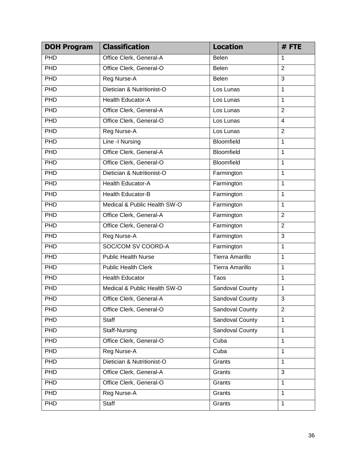| <b>DOH Program</b> | <b>Classification</b>        | <b>Location</b>        | #FTE           |
|--------------------|------------------------------|------------------------|----------------|
| PHD                | Office Clerk, General-A      | Belen                  | 1              |
| PHD                | Office Clerk, General-O      | Belen                  | $\overline{2}$ |
| PHD                | Reg Nurse-A                  | <b>Belen</b>           | 3              |
| PHD                | Dietician & Nutritionist-O   | Los Lunas              | $\mathbf{1}$   |
| PHD                | <b>Health Educator-A</b>     | Los Lunas              | 1              |
| PHD                | Office Clerk, General-A      | Los Lunas              | $\overline{2}$ |
| PHD                | Office Clerk, General-O      | Los Lunas              | $\overline{4}$ |
| PHD                | Reg Nurse-A                  | Los Lunas              | $\overline{2}$ |
| PHD                | Line - I Nursing             | Bloomfield             | $\mathbf{1}$   |
| PHD                | Office Clerk, General-A      | Bloomfield             | $\mathbf{1}$   |
| PHD                | Office Clerk, General-O      | <b>Bloomfield</b>      | 1              |
| PHD                | Dietician & Nutritionist-O   | Farmington             | $\mathbf{1}$   |
| PHD                | <b>Health Educator-A</b>     | Farmington             | 1              |
| PHD                | <b>Health Educator-B</b>     | Farmington             | $\mathbf{1}$   |
| PHD                | Medical & Public Health SW-O | Farmington             | 1              |
| PHD                | Office Clerk, General-A      | Farmington             | $\overline{2}$ |
| PHD                | Office Clerk, General-O      | Farmington             | $\overline{2}$ |
| PHD                | Reg Nurse-A                  | Farmington             | $\overline{3}$ |
| PHD                | SOC/COM SV COORD-A           | Farmington             | $\mathbf{1}$   |
| PHD                | <b>Public Health Nurse</b>   | <b>Tierra Amarillo</b> | $\overline{1}$ |
| PHD                | <b>Public Health Clerk</b>   | <b>Tierra Amarillo</b> | 1              |
| PHD                | <b>Health Educator</b>       | Taos                   | $\overline{1}$ |
| PHD                | Medical & Public Health SW-O | <b>Sandoval County</b> | $\mathbf{1}$   |
| PHD                | Office Clerk, General-A      | <b>Sandoval County</b> | $\overline{3}$ |
| PHD                | Office Clerk, General-O      | <b>Sandoval County</b> | $\overline{2}$ |
| PHD                | Staff                        | <b>Sandoval County</b> | $\mathbf{1}$   |
| PHD                | Staff-Nursing                | <b>Sandoval County</b> | $\mathbf{1}$   |
| PHD                | Office Clerk, General-O      | Cuba                   |                |
| PHD                | Reg Nurse-A                  | Cuba                   | $\mathbf{1}$   |
| PHD                | Dietician & Nutritionist-O   | Grants                 | $\mathbf{1}$   |
| PHD                | Office Clerk, General-A      | Grants                 | 3              |
| PHD                | Office Clerk, General-O      | Grants                 | $\mathbf{1}$   |
| PHD                | Reg Nurse-A                  | Grants                 | $\mathbf{1}$   |
| PHD                | Staff                        | Grants                 | $\mathbf{1}$   |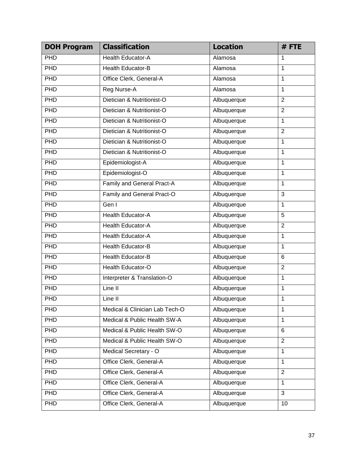| <b>DOH Program</b> | <b>Classification</b>             | <b>Location</b> | #FTE           |
|--------------------|-----------------------------------|-----------------|----------------|
| PHD                | <b>Health Educator-A</b>          | Alamosa         | 1              |
| PHD                | <b>Health Educator-B</b>          | Alamosa         | 1              |
| PHD                | Office Clerk, General-A           | Alamosa         | $\mathbf{1}$   |
| PHD                | Reg Nurse-A                       | Alamosa         | 1              |
| PHD                | Dietician & Nutritionist-O        | Albuquerque     | $\overline{2}$ |
| PHD                | Dietician & Nutritionist-O        | Albuquerque     | $\overline{2}$ |
| PHD                | Dietician & Nutritionist-O        | Albuquerque     | 1              |
| PHD                | Dietician & Nutritionist-O        | Albuquerque     | $\overline{2}$ |
| PHD                | Dietician & Nutritionist-O        | Albuquerque     | 1              |
| PHD                | Dietician & Nutritionist-O        | Albuquerque     | 1              |
| PHD                | Epidemiologist-A                  | Albuquerque     | 1              |
| PHD                | Epidemiologist-O                  | Albuquerque     | 1              |
| PHD                | <b>Family and General Pract-A</b> | Albuquerque     | 1              |
| PHD                | Family and General Pract-O        | Albuquerque     | $\overline{3}$ |
| PHD<br>Gen I       |                                   | Albuquerque     | 1              |
| PHD                | <b>Health Educator-A</b>          | Albuquerque     | $\overline{5}$ |
| PHD                | <b>Health Educator-A</b>          | Albuquerque     | $\overline{2}$ |
| PHD                | <b>Health Educator-A</b>          | Albuquerque     | 1              |
| PHD                | <b>Health Educator-B</b>          | Albuquerque     | 1              |
| PHD                | <b>Health Educator-B</b>          | Albuquerque     | 6              |
| PHD                | <b>Health Educator-O</b>          | Albuquerque     | $\overline{2}$ |
| PHD                | Interpreter & Translation-O       | Albuquerque     | $\mathbf{1}$   |
| PHD                | Line II                           | Albuquerque     | 1              |
| PHD                | Line II                           | Albuquerque     | 1              |
| PHD                | Medical & Clinician Lab Tech-O    | Albuquerque     | 1              |
| PHD                | Medical & Public Health SW-A      | Albuquerque     | $\mathbf{1}$   |
| PHD                | Medical & Public Health SW-O      | Albuquerque     | 6              |
| PHD                | Medical & Public Health SW-O      | Albuquerque     | $\overline{2}$ |
| PHD                | Medical Secretary - O             | Albuquerque     | $\mathbf{1}$   |
| PHD                | Office Clerk, General-A           | Albuquerque     | $\mathbf{1}$   |
| PHD                | Office Clerk, General-A           | Albuquerque     | $\overline{2}$ |
| PHD                | Office Clerk, General-A           | Albuquerque     | $\mathbf{1}$   |
| <b>PHD</b>         | Office Clerk, General-A           | Albuquerque     | 3              |
| PHD                | Office Clerk, General-A           | Albuquerque     | 10             |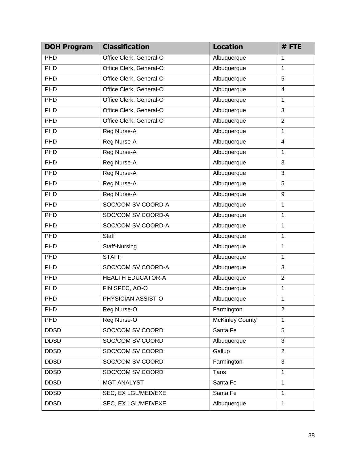| <b>DOH Program</b> | <b>Classification</b>    | <b>Location</b>        | #FTE                    |
|--------------------|--------------------------|------------------------|-------------------------|
| PHD                | Office Clerk, General-O  | Albuquerque            | 1                       |
| PHD                | Office Clerk, General-O  | Albuquerque            | 1                       |
| PHD                | Office Clerk, General-O  | Albuquerque            | 5                       |
| PHD                | Office Clerk, General-O  | Albuquerque            | $\overline{4}$          |
| PHD                | Office Clerk, General-O  | Albuquerque            | 1                       |
| PHD                | Office Clerk, General-O  | Albuquerque            | $\overline{3}$          |
| PHD                | Office Clerk, General-O  | Albuquerque            | $\overline{2}$          |
| PHD                | Reg Nurse-A              | Albuquerque            | $\mathbf{1}$            |
| PHD                | Reg Nurse-A              | Albuquerque            | $\overline{\mathbf{4}}$ |
| PHD                | Reg Nurse-A              | Albuquerque            | 1                       |
| PHD                | <b>Reg Nurse-A</b>       | Albuquerque            | 3                       |
| PHD                | Reg Nurse-A              | Albuquerque            | $\overline{3}$          |
| PHD                | Reg Nurse-A              | Albuquerque            | 5                       |
| PHD                | <b>Reg Nurse-A</b>       | Albuquerque            | 9                       |
| PHD                | SOC/COM SV COORD-A       | Albuquerque            | 1                       |
| PHD                | SOC/COM SV COORD-A       | Albuquerque            | $\mathbf{1}$            |
| PHD                | SOC/COM SV COORD-A       | Albuquerque            | 1                       |
| PHD                | <b>Staff</b>             | Albuquerque            | $\mathbf{1}$            |
| PHD                | <b>Staff-Nursing</b>     | Albuquerque            | 1                       |
| PHD                | <b>STAFF</b>             | Albuquerque            | $\mathbf{1}$            |
| PHD                | SOC/COM SV COORD-A       | Albuquerque            | $\overline{3}$          |
| PHD                | <b>HEALTH EDUCATOR-A</b> | Albuquerque            | $\overline{2}$          |
| PHD                | FIN SPEC, AO-O           | Albuquerque            | 1                       |
| PHD                | PHYSICIAN ASSIST-O       | Albuquerque            | $\mathbf 1$             |
| PHD                | Reg Nurse-O              | Farmington             | $\overline{2}$          |
| <b>PHD</b>         | Reg Nurse-O              | <b>McKinley County</b> | $\mathbf{1}$            |
| <b>DDSD</b>        | SOC/COM SV COORD         | Santa Fe               | $\overline{5}$          |
| <b>DDSD</b>        | SOC/COM SV COORD         | Albuquerque            | 3                       |
| <b>DDSD</b>        | SOC/COM SV COORD         | Gallup                 | $\overline{2}$          |
| <b>DDSD</b>        | SOC/COM SV COORD         | Farmington             | 3                       |
| <b>DDSD</b>        | SOC/COM SV COORD         | Taos                   | $\mathbf{1}$            |
| <b>DDSD</b>        | <b>MGT ANALYST</b>       | Santa Fe               | $\mathbf{1}$            |
| <b>DDSD</b>        | SEC, EX LGL/MED/EXE      | Santa Fe               | $\mathbf{1}$            |
| <b>DDSD</b>        | SEC, EX LGL/MED/EXE      | Albuquerque            | $\mathbf{1}$            |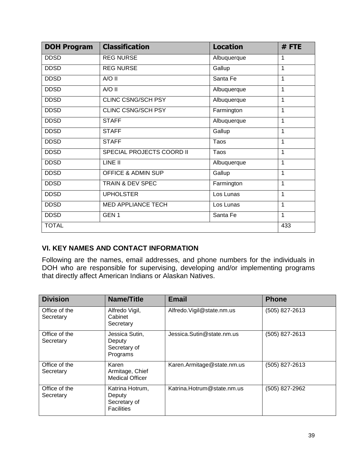| <b>DOH Program</b> | <b>Classification</b>           | <b>Location</b> | #FTE |
|--------------------|---------------------------------|-----------------|------|
| <b>DDSD</b>        | <b>REG NURSE</b><br>Albuquerque |                 | 1    |
| <b>DDSD</b>        | <b>REG NURSE</b>                | Gallup          | 1    |
| <b>DDSD</b>        | A/O II                          | Santa Fe        | 1    |
| <b>DDSD</b>        | A/O II                          | Albuquerque     | 1    |
| <b>DDSD</b>        | CLINC CSNG/SCH PSY              | Albuquerque     | 1    |
| <b>DDSD</b>        | CLINC CSNG/SCH PSY              | Farmington      | 1    |
| <b>DDSD</b>        | <b>STAFF</b>                    | Albuquerque     | 1    |
| <b>DDSD</b>        | <b>STAFF</b>                    | Gallup          | 1    |
| <b>DDSD</b>        | <b>STAFF</b>                    | Taos            | 1    |
| <b>DDSD</b>        | SPECIAL PROJECTS COORD II       | Taos            | 1    |
| <b>DDSD</b>        | LINE II                         | Albuquerque     | 1    |
| <b>DDSD</b>        | <b>OFFICE &amp; ADMIN SUP</b>   | Gallup          | 1    |
| <b>DDSD</b>        | TRAIN & DEV SPEC                | Farmington      | 1    |
| <b>DDSD</b>        | <b>UPHOLSTER</b>                | Los Lunas       | 1    |
| <b>DDSD</b>        | <b>MED APPLIANCE TECH</b>       | Los Lunas       | 1    |
| <b>DDSD</b>        | GEN <sub>1</sub>                | Santa Fe        | 1    |
| <b>TOTAL</b>       |                                 |                 | 433  |

## **VI. KEY NAMES AND CONTACT INFORMATION**

Following are the names, email addresses, and phone numbers for the individuals in DOH who are responsible for supervising, developing and/or implementing programs that directly affect American Indians or Alaskan Natives.

| <b>Division</b>            | Name/Title                                                     | <b>Email</b>               | <b>Phone</b>   |
|----------------------------|----------------------------------------------------------------|----------------------------|----------------|
| Office of the<br>Secretary | Alfredo Vigil,<br>Cabinet<br>Secretary                         | Alfredo. Vigil@state.nm.us | (505) 827-2613 |
| Office of the<br>Secretary | Jessica Sutin,<br>Deputy<br>Secretary of<br>Programs           | Jessica.Sutin@state.nm.us  | (505) 827-2613 |
| Office of the<br>Secretary | Karen<br>Armitage, Chief<br><b>Medical Officer</b>             | Karen.Armitage@state.nm.us | (505) 827-2613 |
| Office of the<br>Secretary | Katrina Hotrum,<br>Deputy<br>Secretary of<br><b>Facilities</b> | Katrina.Hotrum@state.nm.us | (505) 827-2962 |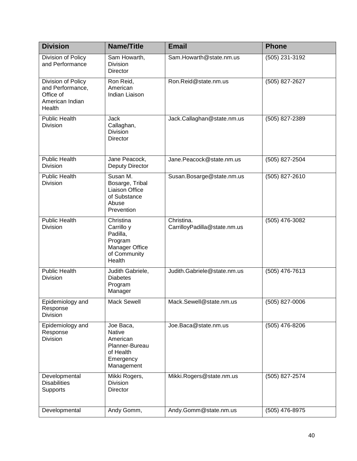| <b>Division</b>                                                                  | <b>Name/Title</b>                                                                                | <b>Email</b>                               | <b>Phone</b>     |
|----------------------------------------------------------------------------------|--------------------------------------------------------------------------------------------------|--------------------------------------------|------------------|
| Division of Policy<br>and Performance                                            | Sam Howarth,<br><b>Division</b><br><b>Director</b>                                               | Sam.Howarth@state.nm.us                    | (505) 231-3192   |
| Division of Policy<br>and Performance,<br>Office of<br>American Indian<br>Health | Ron Reid,<br>American<br>Indian Liaison                                                          | Ron.Reid@state.nm.us                       | (505) 827-2627   |
| <b>Public Health</b><br><b>Division</b>                                          | Jack<br>Callaghan,<br><b>Division</b><br><b>Director</b>                                         | Jack.Callaghan@state.nm.us                 | $(505)$ 827-2389 |
| <b>Public Health</b><br><b>Division</b>                                          | Jane Peacock,<br><b>Deputy Director</b>                                                          | Jane.Peacock@state.nm.us                   | (505) 827-2504   |
| <b>Public Health</b><br>Division                                                 | Susan M.<br>Bosarge, Tribal<br>Liaison Office<br>of Substance<br>Abuse<br>Prevention             | Susan.Bosarge@state.nm.us                  | (505) 827-2610   |
| <b>Public Health</b><br><b>Division</b>                                          | Christina<br>Carrillo y<br>Padilla,<br>Program<br>Manager Office<br>of Community<br>Health       | Christina.<br>CarrilloyPadilla@state.nm.us | (505) 476-3082   |
| <b>Public Health</b><br>Division                                                 | Judith Gabriele,<br><b>Diabetes</b><br>Program<br>Manager                                        | Judith.Gabriele@state.nm.us                | (505) 476-7613   |
| Epidemiology and<br>Response<br>Division                                         | <b>Mack Sewell</b>                                                                               | Mack.Sewell@state.nm.us                    | (505) 827-0006   |
| Epidemiology and<br>Response<br><b>Division</b>                                  | Joe Baca,<br><b>Native</b><br>American<br>Planner-Bureau<br>of Health<br>Emergency<br>Management | Joe.Baca@state.nm.us                       | (505) 476-8206   |
| Developmental<br><b>Disabilities</b><br>Supports                                 | Mikki Rogers,<br><b>Division</b><br><b>Director</b>                                              | Mikki.Rogers@state.nm.us                   | $(505)$ 827-2574 |
| Developmental                                                                    | Andy Gomm,                                                                                       | Andy.Gomm@state.nm.us                      | (505) 476-8975   |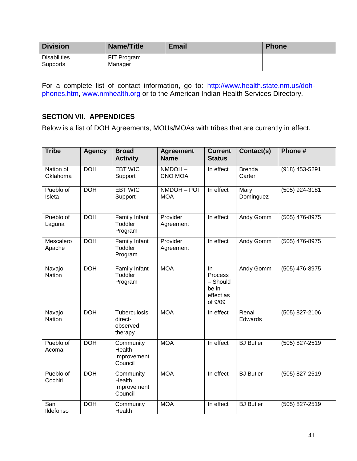| <b>Division</b>                 | <b>Name/Title</b>      | <b>Email</b> | <b>Phone</b> |
|---------------------------------|------------------------|--------------|--------------|
| <b>Disabilities</b><br>Supports | FIT Program<br>Manager |              |              |

For a complete list of contact information, go to: [http://www.health.state.nm.us/doh](http://www.health.state.nm.us/doh-phones.htm)[phones.htm,](http://www.health.state.nm.us/doh-phones.htm) [www.nmhealth.org](http://www.nmhealth.org/) or to the American Indian Health Services Directory.

## **SECTION VII. APPENDICES**

Below is a list of DOH Agreements, MOUs/MOAs with tribes that are currently in effect.

| <b>Tribe</b>            | <b>Agency</b> | <b>Broad</b><br><b>Activity</b>                | <b>Agreement</b><br><b>Name</b> | <b>Current</b><br><b>Status</b>                            | Contact(s)              | Phone #        |
|-------------------------|---------------|------------------------------------------------|---------------------------------|------------------------------------------------------------|-------------------------|----------------|
| Nation of<br>Oklahoma   | <b>DOH</b>    | <b>EBT WIC</b><br>Support                      | NMDOH-<br><b>CNO MOA</b>        | In effect                                                  | <b>Brenda</b><br>Carter | (918) 453-5291 |
| Pueblo of<br>Isleta     | <b>DOH</b>    | <b>EBT WIC</b><br>Support                      | NMDOH - POI<br><b>MOA</b>       | In effect                                                  | Mary<br>Dominguez       | (505) 924-3181 |
| Pueblo of<br>Laguna     | <b>DOH</b>    | Family Infant<br>Toddler<br>Program            | Provider<br>Agreement           | In effect                                                  | Andy Gomm               | (505) 476-8975 |
| Mescalero<br>Apache     | <b>DOH</b>    | Family Infant<br>Toddler<br>Program            | Provider<br>Agreement           | In effect                                                  | Andy Gomm               | (505) 476-8975 |
| Navajo<br><b>Nation</b> | <b>DOH</b>    | <b>Family Infant</b><br>Toddler<br>Program     | <b>MOA</b>                      | In<br>Process<br>- Should<br>be in<br>effect as<br>of 9/09 | Andy Gomm               | (505) 476-8975 |
| Navajo<br><b>Nation</b> | <b>DOH</b>    | Tuberculosis<br>direct-<br>observed<br>therapy | <b>MOA</b>                      | In effect                                                  | Renai<br>Edwards        | (505) 827-2106 |
| Pueblo of<br>Acoma      | <b>DOH</b>    | Community<br>Health<br>Improvement<br>Council  | <b>MOA</b>                      | In effect                                                  | <b>BJ</b> Butler        | (505) 827-2519 |
| Pueblo of<br>Cochiti    | <b>DOH</b>    | Community<br>Health<br>Improvement<br>Council  | <b>MOA</b>                      | In effect                                                  | <b>BJ</b> Butler        | (505) 827-2519 |
| San<br>Ildefonso        | <b>DOH</b>    | Community<br>Health                            | <b>MOA</b>                      | In effect                                                  | <b>BJ</b> Butler        | (505) 827-2519 |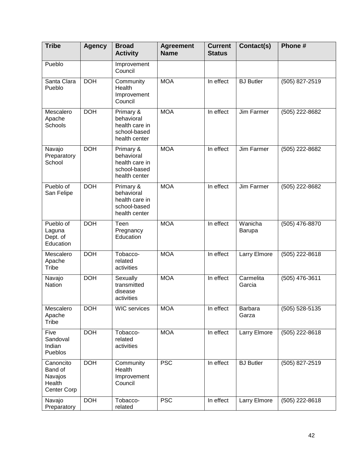| <b>Tribe</b>                                             | <b>Agency</b> | <b>Broad</b><br><b>Activity</b>                                            | <b>Agreement</b><br><b>Name</b> | <b>Current</b><br><b>Status</b> | Contact(s)          | Phone#         |
|----------------------------------------------------------|---------------|----------------------------------------------------------------------------|---------------------------------|---------------------------------|---------------------|----------------|
| Pueblo                                                   |               | Improvement<br>Council                                                     |                                 |                                 |                     |                |
| Santa Clara<br>Pueblo                                    | <b>DOH</b>    | Community<br>Health<br>Improvement<br>Council                              | <b>MOA</b>                      | In effect                       | <b>BJ</b> Butler    | (505) 827-2519 |
| Mescalero<br>Apache<br>Schools                           | <b>DOH</b>    | Primary &<br>behavioral<br>health care in<br>school-based<br>health center | <b>MOA</b>                      | In effect                       | Jim Farmer          | (505) 222-8682 |
| Navajo<br>Preparatory<br>School                          | <b>DOH</b>    | Primary &<br>behavioral<br>health care in<br>school-based<br>health center | <b>MOA</b>                      | In effect                       | Jim Farmer          | (505) 222-8682 |
| Pueblo of<br>San Felipe                                  | <b>DOH</b>    | Primary &<br>behavioral<br>health care in<br>school-based<br>health center | <b>MOA</b>                      | In effect                       | Jim Farmer          | (505) 222-8682 |
| Pueblo of<br>Laguna<br>Dept. of<br>Education             | <b>DOH</b>    | Teen<br>Pregnancy<br>Education                                             | <b>MOA</b>                      | In effect                       | Wanicha<br>Barupa   | (505) 476-8870 |
| Mescalero<br>Apache<br>Tribe                             | <b>DOH</b>    | Tobacco-<br>related<br>activities                                          | <b>MOA</b>                      | In effect                       | Larry Elmore        | (505) 222-8618 |
| Navajo<br><b>Nation</b>                                  | <b>DOH</b>    | Sexually<br>transmitted<br>disease<br>activities                           | <b>MOA</b>                      | In effect                       | Carmelita<br>Garcia | (505) 476-3611 |
| Mescalero<br>Apache<br>Tribe                             | <b>DOH</b>    | <b>WIC</b> services                                                        | <b>MOA</b>                      | In effect                       | Barbara<br>Garza    | (505) 528-5135 |
| Five<br>Sandoval<br>Indian<br>Pueblos                    | <b>DOH</b>    | Tobacco-<br>related<br>activities                                          | <b>MOA</b>                      | In effect                       | Larry Elmore        | (505) 222-8618 |
| Canoncito<br>Band of<br>Navajos<br>Health<br>Center Corp | <b>DOH</b>    | Community<br>Health<br>Improvement<br>Council                              | <b>PSC</b>                      | In effect                       | <b>BJ</b> Butler    | (505) 827-2519 |
| Navajo<br>Preparatory                                    | <b>DOH</b>    | Tobacco-<br>related                                                        | <b>PSC</b>                      | In effect                       | Larry Elmore        | (505) 222-8618 |